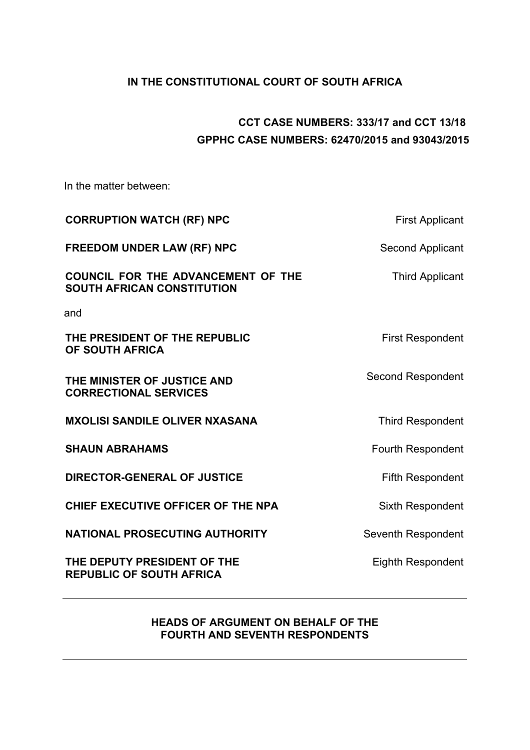# **IN THE CONSTITUTIONAL COURT OF SOUTH AFRICA**

# **CCT CASE NUMBERS: 333/17 and CCT 13/18 GPPHC CASE NUMBERS: 62470/2015 and 93043/2015**

In the matter between:

| <b>CORRUPTION WATCH (RF) NPC</b>                                               | <b>First Applicant</b>   |
|--------------------------------------------------------------------------------|--------------------------|
| <b>FREEDOM UNDER LAW (RF) NPC</b>                                              | Second Applicant         |
| <b>COUNCIL FOR THE ADVANCEMENT OF THE</b><br><b>SOUTH AFRICAN CONSTITUTION</b> | <b>Third Applicant</b>   |
| and                                                                            |                          |
| THE PRESIDENT OF THE REPUBLIC<br>OF SOUTH AFRICA                               | <b>First Respondent</b>  |
| THE MINISTER OF JUSTICE AND<br><b>CORRECTIONAL SERVICES</b>                    | <b>Second Respondent</b> |
| <b>MXOLISI SANDILE OLIVER NXASANA</b>                                          | <b>Third Respondent</b>  |
| <b>SHAUN ABRAHAMS</b>                                                          | <b>Fourth Respondent</b> |
| <b>DIRECTOR-GENERAL OF JUSTICE</b>                                             | <b>Fifth Respondent</b>  |
| CHIEF EXECUTIVE OFFICER OF THE NPA                                             | <b>Sixth Respondent</b>  |
| <b>NATIONAL PROSECUTING AUTHORITY</b>                                          | Seventh Respondent       |
| THE DEPUTY PRESIDENT OF THE<br><b>REPUBLIC OF SOUTH AFRICA</b>                 | <b>Eighth Respondent</b> |

# **HEADS OF ARGUMENT ON BEHALF OF THE FOURTH AND SEVENTH RESPONDENTS**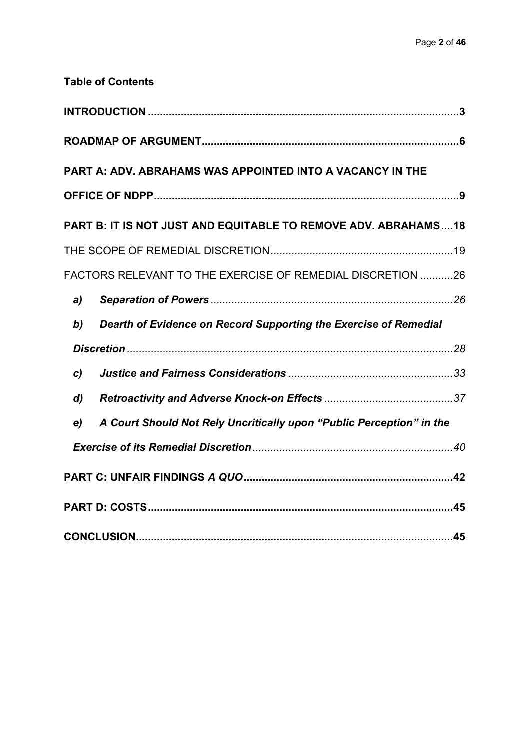|                  | <b>Table of Contents</b>                                              |
|------------------|-----------------------------------------------------------------------|
|                  |                                                                       |
|                  |                                                                       |
|                  | <b>PART A: ADV. ABRAHAMS WAS APPOINTED INTO A VACANCY IN THE</b>      |
|                  |                                                                       |
|                  | <b>PART B: IT IS NOT JUST AND EQUITABLE TO REMOVE ADV. ABRAHAMS18</b> |
|                  |                                                                       |
|                  | <b>FACTORS RELEVANT TO THE EXERCISE OF REMEDIAL DISCRETION 26</b>     |
| a)               |                                                                       |
| b)               | Dearth of Evidence on Record Supporting the Exercise of Remedial      |
|                  |                                                                       |
| $\mathbf{c}$     |                                                                       |
| $\boldsymbol{d}$ |                                                                       |
| e)               | A Court Should Not Rely Uncritically upon "Public Perception" in the  |
|                  |                                                                       |
|                  |                                                                       |
|                  |                                                                       |
|                  |                                                                       |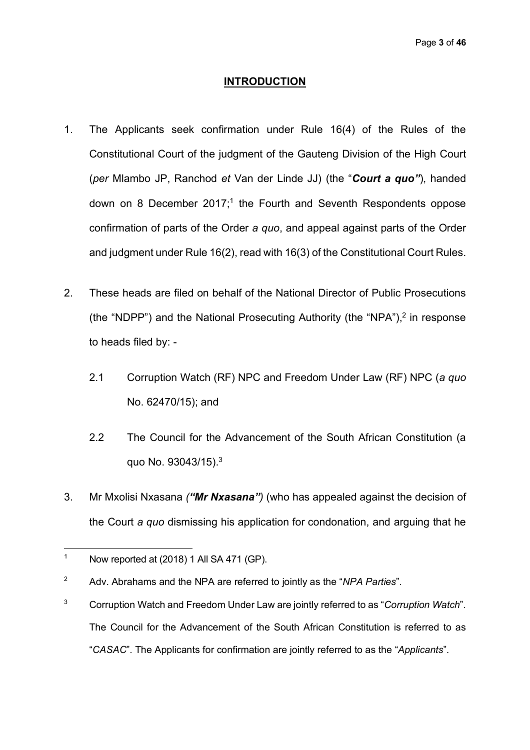#### **INTRODUCTION**

- 1. The Applicants seek confirmation under Rule 16(4) of the Rules of the Constitutional Court of the judgment of the Gauteng Division of the High Court (*per* Mlambo JP, Ranchod *et* Van der Linde JJ) (the "*Court a quo"*), handed down on 8 December  $2017$ ;<sup>1</sup> the Fourth and Seventh Respondents oppose confirmation of parts of the Order *a quo*, and appeal against parts of the Order and judgment under Rule 16(2), read with 16(3) of the Constitutional Court Rules.
- 2. These heads are filed on behalf of the National Director of Public Prosecutions (the "NDPP") and the National Prosecuting Authority (the "NPA"),2 in response to heads filed by: -
	- 2.1 Corruption Watch (RF) NPC and Freedom Under Law (RF) NPC (*a quo* No. 62470/15); and
	- 2.2 The Council for the Advancement of the South African Constitution (a quo No. 93043/15).3
- 3. Mr Mxolisi Nxasana *("Mr Nxasana")* (who has appealed against the decision of the Court *a quo* dismissing his application for condonation, and arguing that he

 $\overline{a}$ 

<sup>&</sup>lt;sup>1</sup> Now reported at  $(2018)$  1 All SA 471 (GP).

<sup>2</sup> Adv. Abrahams and the NPA are referred to jointly as the "*NPA Parties*".

<sup>3</sup> Corruption Watch and Freedom Under Law are jointly referred to as "*Corruption Watch*". The Council for the Advancement of the South African Constitution is referred to as "*CASAC*". The Applicants for confirmation are jointly referred to as the "*Applicants*".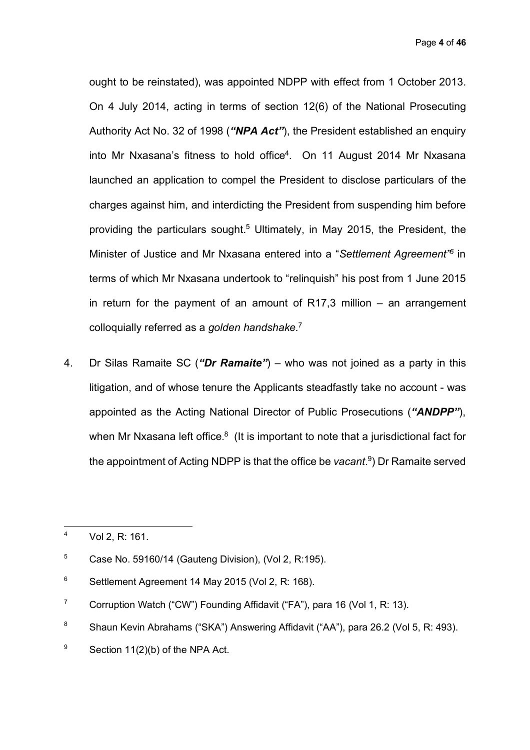Page **4** of **46**

ought to be reinstated), was appointed NDPP with effect from 1 October 2013. On 4 July 2014, acting in terms of section 12(6) of the National Prosecuting Authority Act No. 32 of 1998 (*"NPA Act"*), the President established an enquiry into Mr Nxasana's fitness to hold office<sup>4</sup>. On 11 August 2014 Mr Nxasana launched an application to compel the President to disclose particulars of the charges against him, and interdicting the President from suspending him before providing the particulars sought. <sup>5</sup> Ultimately, in May 2015, the President, the Minister of Justice and Mr Nxasana entered into a "*Settlement Agreement"6* in terms of which Mr Nxasana undertook to "relinquish" his post from 1 June 2015 in return for the payment of an amount of  $R17,3$  million – an arrangement colloquially referred as a *golden handshake.*7

4. Dr Silas Ramaite SC (*"Dr Ramaite"*) – who was not joined as a party in this litigation, and of whose tenure the Applicants steadfastly take no account - was appointed as the Acting National Director of Public Prosecutions (*"ANDPP"*), when Mr Nxasana left office.<sup>8</sup> (It is important to note that a jurisdictional fact for the appointment of Acting NDPP is that the office be *vacant*. 9) Dr Ramaite served

 $\overline{4}$ Vol 2, R: 161.

 $5$  Case No. 59160/14 (Gauteng Division), (Vol 2, R:195).

<sup>6</sup> Settlement Agreement 14 May 2015 (Vol 2, R: 168).

<sup>&</sup>lt;sup>7</sup> Corruption Watch ("CW") Founding Affidavit ("FA"), para 16 (Vol 1, R: 13).

<sup>8</sup> Shaun Kevin Abrahams ("SKA") Answering Affidavit ("AA"), para 26.2 (Vol 5, R: 493).

 $9$  Section 11(2)(b) of the NPA Act.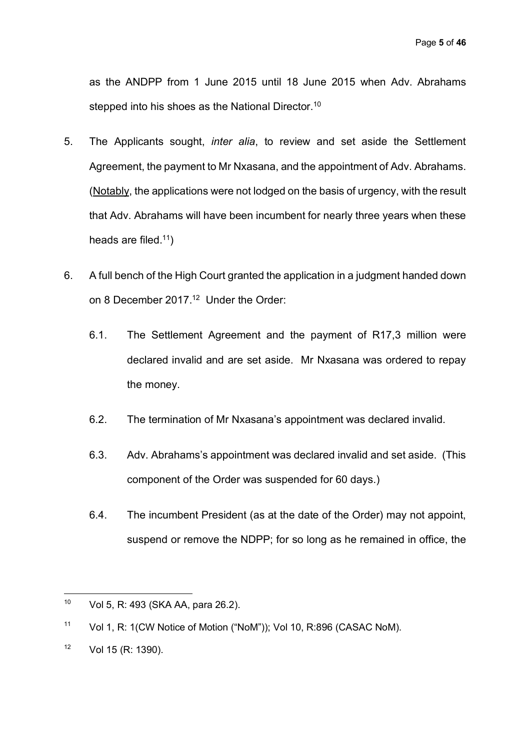as the ANDPP from 1 June 2015 until 18 June 2015 when Adv. Abrahams stepped into his shoes as the National Director.<sup>10</sup>

- 5. The Applicants sought, *inter alia*, to review and set aside the Settlement Agreement, the payment to Mr Nxasana, and the appointment of Adv. Abrahams. (Notably, the applications were not lodged on the basis of urgency, with the result that Adv. Abrahams will have been incumbent for nearly three years when these heads are filed.<sup>11</sup>)
- 6. A full bench of the High Court granted the application in a judgment handed down on 8 December 2017.<sup>12</sup> Under the Order:
	- 6.1. The Settlement Agreement and the payment of R17,3 million were declared invalid and are set aside. Mr Nxasana was ordered to repay the money.
	- 6.2. The termination of Mr Nxasana's appointment was declared invalid.
	- 6.3. Adv. Abrahams's appointment was declared invalid and set aside. (This component of the Order was suspended for 60 days.)
	- 6.4. The incumbent President (as at the date of the Order) may not appoint, suspend or remove the NDPP; for so long as he remained in office, the

 $10<sup>1</sup>$ Vol 5, R: 493 (SKA AA, para 26.2).

<sup>11</sup> Vol 1, R: 1(CW Notice of Motion ("NoM")); Vol 10, R:896 (CASAC NoM).

<sup>12</sup> Vol 15 (R: 1390).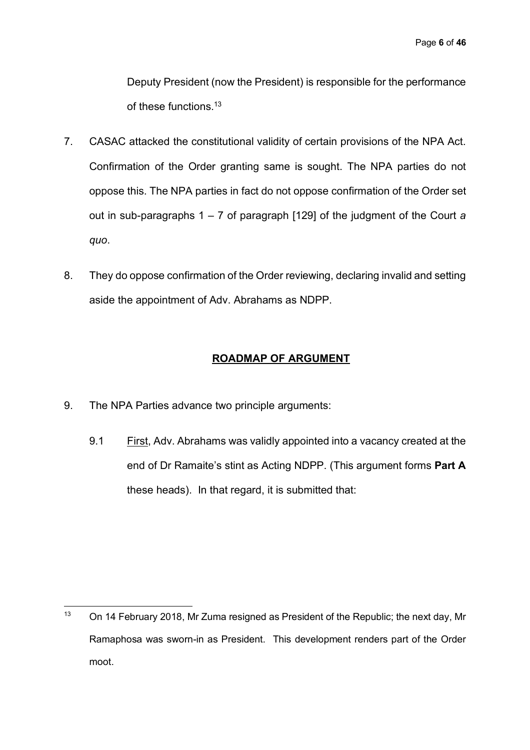Deputy President (now the President) is responsible for the performance of these functions.13

- 7. CASAC attacked the constitutional validity of certain provisions of the NPA Act. Confirmation of the Order granting same is sought. The NPA parties do not oppose this. The NPA parties in fact do not oppose confirmation of the Order set out in sub-paragraphs 1 – 7 of paragraph [129] of the judgment of the Court *a quo*.
- 8. They do oppose confirmation of the Order reviewing, declaring invalid and setting aside the appointment of Adv. Abrahams as NDPP.

## **ROADMAP OF ARGUMENT**

9. The NPA Parties advance two principle arguments:

 $\overline{a}$ 

9.1 First, Adv. Abrahams was validly appointed into a vacancy created at the end of Dr Ramaite's stint as Acting NDPP. (This argument forms **Part A** these heads). In that regard, it is submitted that:

<sup>&</sup>lt;sup>13</sup> On 14 February 2018, Mr Zuma resigned as President of the Republic; the next day, Mr Ramaphosa was sworn-in as President. This development renders part of the Order moot.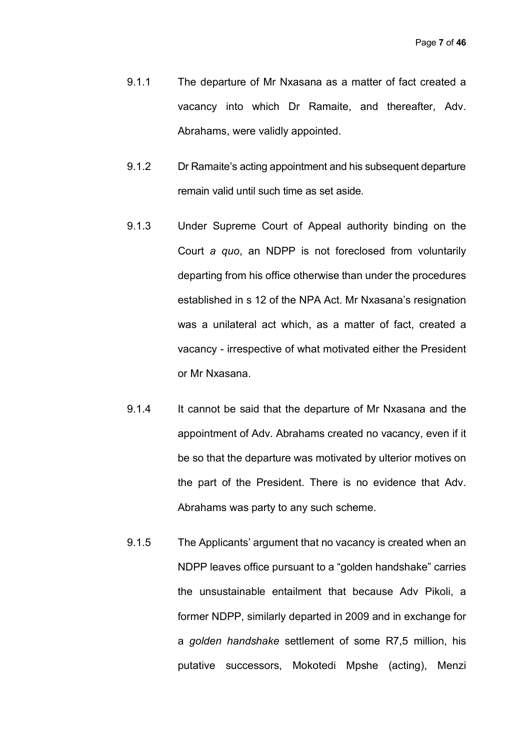- 9.1.1 The departure of Mr Nxasana as a matter of fact created a vacancy into which Dr Ramaite, and thereafter, Adv. Abrahams, were validly appointed.
- 9.1.2 Dr Ramaite's acting appointment and his subsequent departure remain valid until such time as set aside.
- 9.1.3 Under Supreme Court of Appeal authority binding on the Court *a quo*, an NDPP is not foreclosed from voluntarily departing from his office otherwise than under the procedures established in s 12 of the NPA Act. Mr Nxasana's resignation was a unilateral act which, as a matter of fact, created a vacancy - irrespective of what motivated either the President or Mr Nxasana.
- 9.1.4 It cannot be said that the departure of Mr Nxasana and the appointment of Adv. Abrahams created no vacancy, even if it be so that the departure was motivated by ulterior motives on the part of the President. There is no evidence that Adv. Abrahams was party to any such scheme.
- 9.1.5 The Applicants' argument that no vacancy is created when an NDPP leaves office pursuant to a "golden handshake" carries the unsustainable entailment that because Adv Pikoli, a former NDPP, similarly departed in 2009 and in exchange for a *golden handshake* settlement of some R7,5 million, his putative successors, Mokotedi Mpshe (acting), Menzi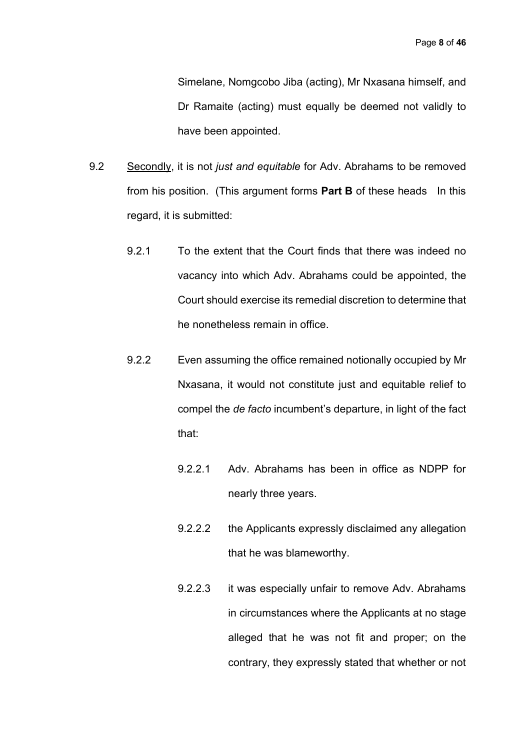Simelane, Nomgcobo Jiba (acting), Mr Nxasana himself, and Dr Ramaite (acting) must equally be deemed not validly to have been appointed.

- 9.2 Secondly, it is not *just and equitable* for Adv. Abrahams to be removed from his position. (This argument forms **Part B** of these heads In this regard, it is submitted:
	- 9.2.1 To the extent that the Court finds that there was indeed no vacancy into which Adv. Abrahams could be appointed, the Court should exercise its remedial discretion to determine that he nonetheless remain in office.
	- 9.2.2 Even assuming the office remained notionally occupied by Mr Nxasana, it would not constitute just and equitable relief to compel the *de facto* incumbent's departure, in light of the fact that:
		- 9.2.2.1 Adv. Abrahams has been in office as NDPP for nearly three years.
		- 9.2.2.2 the Applicants expressly disclaimed any allegation that he was blameworthy.
		- 9.2.2.3 it was especially unfair to remove Adv. Abrahams in circumstances where the Applicants at no stage alleged that he was not fit and proper; on the contrary, they expressly stated that whether or not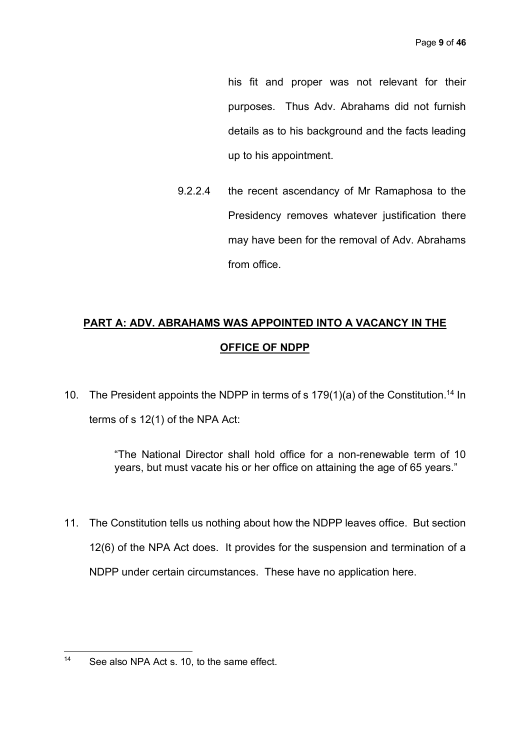his fit and proper was not relevant for their purposes. Thus Adv. Abrahams did not furnish details as to his background and the facts leading up to his appointment.

9.2.2.4 the recent ascendancy of Mr Ramaphosa to the Presidency removes whatever justification there may have been for the removal of Adv. Abrahams from office.

# **PART A: ADV. ABRAHAMS WAS APPOINTED INTO A VACANCY IN THE OFFICE OF NDPP**

10. The President appoints the NDPP in terms of s  $179(1)(a)$  of the Constitution.<sup>14</sup> In terms of s 12(1) of the NPA Act:

> "The National Director shall hold office for a non-renewable term of 10 years, but must vacate his or her office on attaining the age of 65 years."

11. The Constitution tells us nothing about how the NDPP leaves office. But section 12(6) of the NPA Act does. It provides for the suspension and termination of a NDPP under certain circumstances. These have no application here.

 $14$ See also NPA Act s. 10, to the same effect.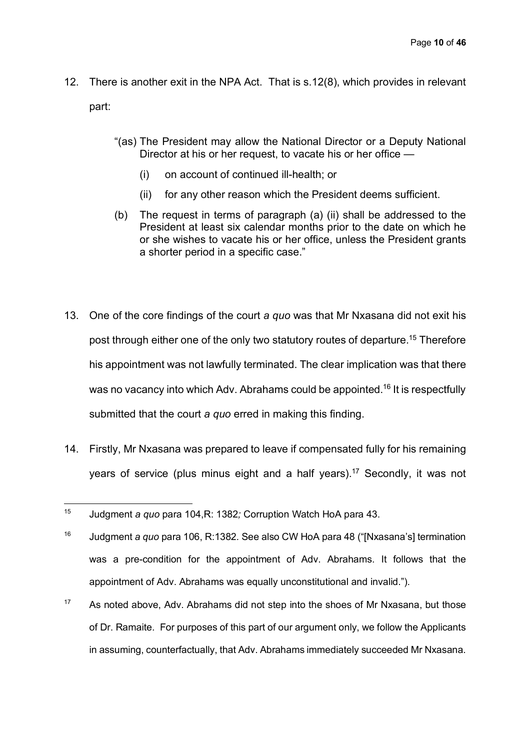- 12. There is another exit in the NPA Act. That is s.12(8), which provides in relevant part:
	- "(as) The President may allow the National Director or a Deputy National Director at his or her request, to vacate his or her office —
		- (i) on account of continued ill-health; or
		- (ii) for any other reason which the President deems sufficient.
	- (b) The request in terms of paragraph (a) (ii) shall be addressed to the President at least six calendar months prior to the date on which he or she wishes to vacate his or her office, unless the President grants a shorter period in a specific case."
- 13. One of the core findings of the court *a quo* was that Mr Nxasana did not exit his post through either one of the only two statutory routes of departure. <sup>15</sup> Therefore his appointment was not lawfully terminated. The clear implication was that there was no vacancy into which Ady. Abrahams could be appointed.<sup>16</sup> It is respectfully submitted that the court *a quo* erred in making this finding.
- 14. Firstly, Mr Nxasana was prepared to leave if compensated fully for his remaining years of service (plus minus eight and a half years).<sup>17</sup> Secondly, it was not

- <sup>16</sup> Judgment *a quo* para 106, R:1382*.* See also CW HoA para 48 ("[Nxasana's] termination was a pre-condition for the appointment of Adv. Abrahams. It follows that the appointment of Adv. Abrahams was equally unconstitutional and invalid.").
- $17$  As noted above, Adv. Abrahams did not step into the shoes of Mr Nxasana, but those of Dr. Ramaite. For purposes of this part of our argument only, we follow the Applicants in assuming, counterfactually, that Adv. Abrahams immediately succeeded Mr Nxasana.

 $15$ <sup>15</sup> Judgment *a quo* para 104,R: 1382*;* Corruption Watch HoA para 43.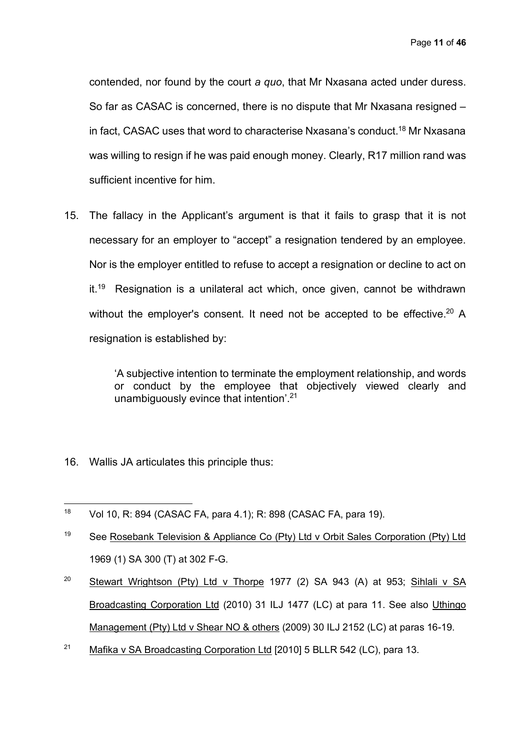contended, nor found by the court *a quo*, that Mr Nxasana acted under duress. So far as CASAC is concerned, there is no dispute that Mr Nxasana resigned – in fact, CASAC uses that word to characterise Nxasana's conduct. <sup>18</sup> Mr Nxasana was willing to resign if he was paid enough money. Clearly, R17 million rand was sufficient incentive for him.

15. The fallacy in the Applicant's argument is that it fails to grasp that it is not necessary for an employer to "accept" a resignation tendered by an employee. Nor is the employer entitled to refuse to accept a resignation or decline to act on it.<sup>19</sup> Resignation is a unilateral act which, once given, cannot be withdrawn without the employer's consent. It need not be accepted to be effective.<sup>20</sup> A resignation is established by:

> 'A subjective intention to terminate the employment relationship, and words or conduct by the employee that objectively viewed clearly and unambiguously evince that intention'.21

16. Wallis JA articulates this principle thus:

- <sup>19</sup> See Rosebank Television & Appliance Co (Pty) Ltd v Orbit Sales Corporation (Pty) Ltd 1969 (1) SA 300 (T) at 302 F-G.
- <sup>20</sup> Stewart Wrightson (Pty) Ltd v Thorpe 1977 (2) SA 943 (A) at 953; Sihlali v SA Broadcasting Corporation Ltd (2010) 31 ILJ 1477 (LC) at para 11. See also Uthingo Management (Pty) Ltd v Shear NO & others (2009) 30 ILJ 2152 (LC) at paras 16-19.
- <sup>21</sup> Mafika v SA Broadcasting Corporation Ltd [2010] 5 BLLR 542 (LC), para 13.

<sup>18</sup> <sup>18</sup> Vol 10, R: 894 (CASAC FA, para 4.1); R: 898 (CASAC FA, para 19).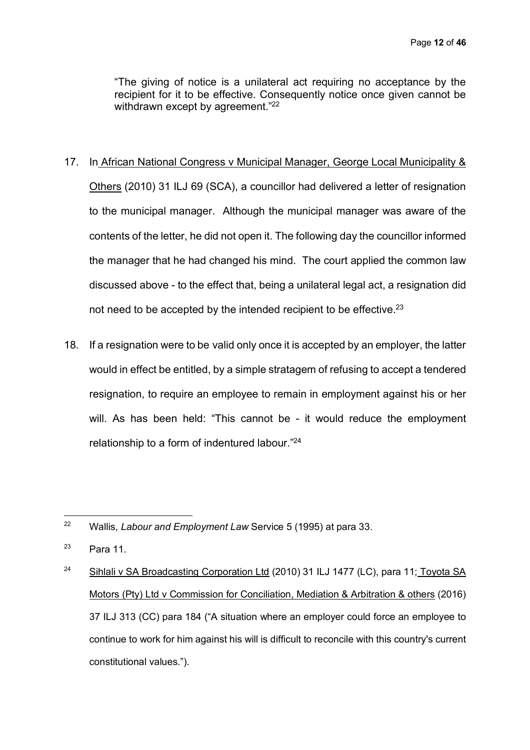"The giving of notice is a unilateral act requiring no acceptance by the recipient for it to be effective. Consequently notice once given cannot be withdrawn except by agreement."<sup>22</sup>

#### 17. In African National Congress v Municipal Manager, George Local Municipality &

Others (2010) 31 ILJ 69 (SCA), a councillor had delivered a letter of resignation to the municipal manager. Although the municipal manager was aware of the contents of the letter, he did not open it. The following day the councillor informed the manager that he had changed his mind. The court applied the common law discussed above - to the effect that, being a unilateral legal act, a resignation did not need to be accepted by the intended recipient to be effective.<sup>23</sup>

18. If a resignation were to be valid only once it is accepted by an employer, the latter would in effect be entitled, by a simple stratagem of refusing to accept a tendered resignation, to require an employee to remain in employment against his or her will. As has been held: "This cannot be - it would reduce the employment relationship to a form of indentured labour."24

 $22$ <sup>22</sup> Wallis, *Labour and Employment Law* Service 5 (1995) at para 33.

 $23$  Para 11.

<sup>&</sup>lt;sup>24</sup> Sihlali v SA Broadcasting Corporation Ltd (2010) 31 ILJ 1477 (LC), para 11; Toyota SA Motors (Pty) Ltd v Commission for Conciliation, Mediation & Arbitration & others (2016) 37 ILJ 313 (CC) para 184 ("A situation where an employer could force an employee to continue to work for him against his will is difficult to reconcile with this country's current constitutional values.").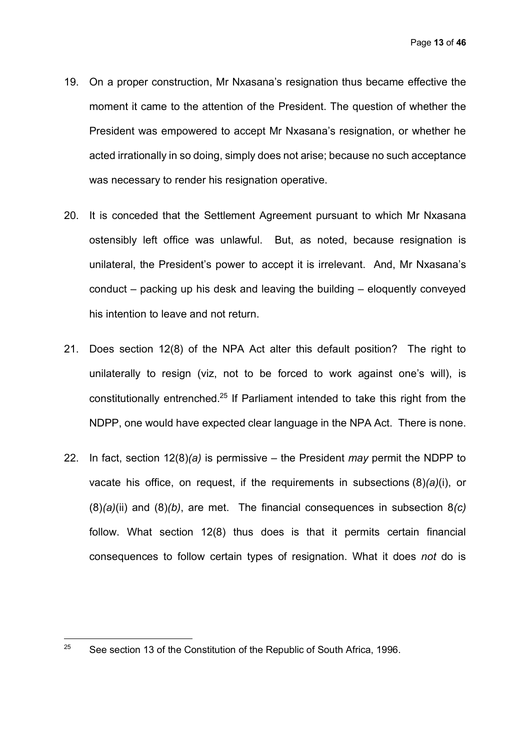- 19. On a proper construction, Mr Nxasana's resignation thus became effective the moment it came to the attention of the President. The question of whether the President was empowered to accept Mr Nxasana's resignation, or whether he acted irrationally in so doing, simply does not arise; because no such acceptance was necessary to render his resignation operative.
- 20. It is conceded that the Settlement Agreement pursuant to which Mr Nxasana ostensibly left office was unlawful. But, as noted, because resignation is unilateral, the President's power to accept it is irrelevant. And, Mr Nxasana's conduct – packing up his desk and leaving the building – eloquently conveyed his intention to leave and not return.
- 21. Does section 12(8) of the NPA Act alter this default position? The right to unilaterally to resign (viz, not to be forced to work against one's will), is constitutionally entrenched.25 If Parliament intended to take this right from the NDPP, one would have expected clear language in the NPA Act. There is none.
- 22. In fact, section 12(8)*(a)* is permissive the President *may* permit the NDPP to vacate his office, on request, if the requirements in subsections (8)*(a)*(i), or (8)*(a)*(ii) and (8)*(b)*, are met. The financial consequences in subsection 8*(c)* follow. What section 12(8) thus does is that it permits certain financial consequences to follow certain types of resignation. What it does *not* do is

 $\overline{a}$ 

<sup>&</sup>lt;sup>25</sup> See section 13 of the Constitution of the Republic of South Africa, 1996.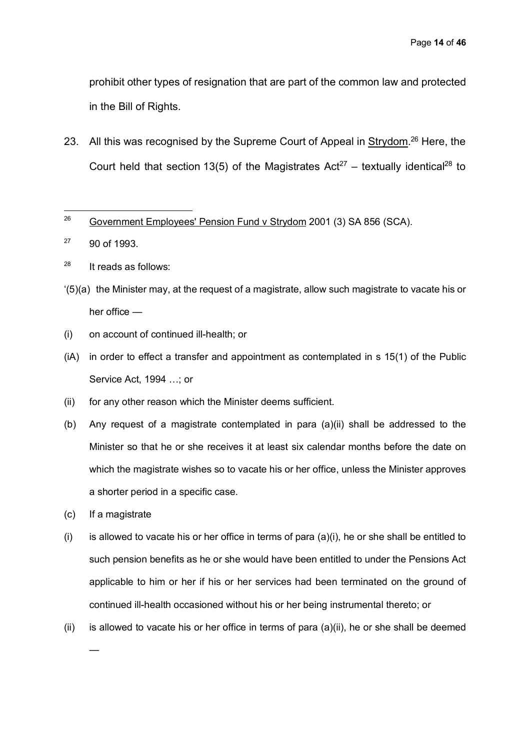prohibit other types of resignation that are part of the common law and protected in the Bill of Rights.

23. All this was recognised by the Supreme Court of Appeal in Strydom.<sup>26</sup> Here, the Court held that section 13(5) of the Magistrates  $Act^{27}$  – textually identical<sup>28</sup> to

<sup>27</sup> 90 of 1993.

 $28$  It reads as follows:

- '(5)(a) the Minister may, at the request of a magistrate, allow such magistrate to vacate his or her office —
- (i) on account of continued ill-health; or
- (iA) in order to effect a transfer and appointment as contemplated in s 15(1) of the Public Service Act, 1994 …; or
- (ii) for any other reason which the Minister deems sufficient.
- (b) Any request of a magistrate contemplated in para (a)(ii) shall be addressed to the Minister so that he or she receives it at least six calendar months before the date on which the magistrate wishes so to vacate his or her office, unless the Minister approves a shorter period in a specific case.
- (c) If a magistrate

—

- (i) is allowed to vacate his or her office in terms of para  $(a)(i)$ , he or she shall be entitled to such pension benefits as he or she would have been entitled to under the Pensions Act applicable to him or her if his or her services had been terminated on the ground of continued ill-health occasioned without his or her being instrumental thereto; or
- (ii) is allowed to vacate his or her office in terms of para  $(a)(ii)$ , he or she shall be deemed

 $26\,$ <sup>26</sup> Government Employees' Pension Fund v Strydom 2001 (3) SA 856 (SCA).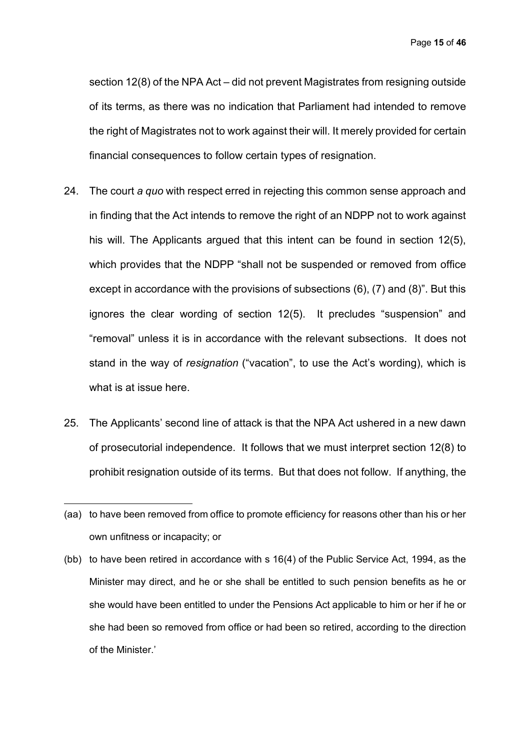Page **15** of **46**

section 12(8) of the NPA Act – did not prevent Magistrates from resigning outside of its terms, as there was no indication that Parliament had intended to remove the right of Magistrates not to work against their will. It merely provided for certain financial consequences to follow certain types of resignation.

- 24. The court *a quo* with respect erred in rejecting this common sense approach and in finding that the Act intends to remove the right of an NDPP not to work against his will. The Applicants argued that this intent can be found in section 12(5), which provides that the NDPP "shall not be suspended or removed from office except in accordance with the provisions of subsections (6), (7) and (8)". But this ignores the clear wording of section 12(5). It precludes "suspension" and "removal" unless it is in accordance with the relevant subsections. It does not stand in the way of *resignation* ("vacation", to use the Act's wording), which is what is at issue here.
- 25. The Applicants' second line of attack is that the NPA Act ushered in a new dawn of prosecutorial independence. It follows that we must interpret section 12(8) to prohibit resignation outside of its terms. But that does not follow. If anything, the
- (aa) to have been removed from office to promote efficiency for reasons other than his or her own unfitness or incapacity; or

 $\overline{a}$ 

(bb) to have been retired in accordance with s 16(4) of the Public Service Act, 1994, as the Minister may direct, and he or she shall be entitled to such pension benefits as he or she would have been entitled to under the Pensions Act applicable to him or her if he or she had been so removed from office or had been so retired, according to the direction of the Minister.'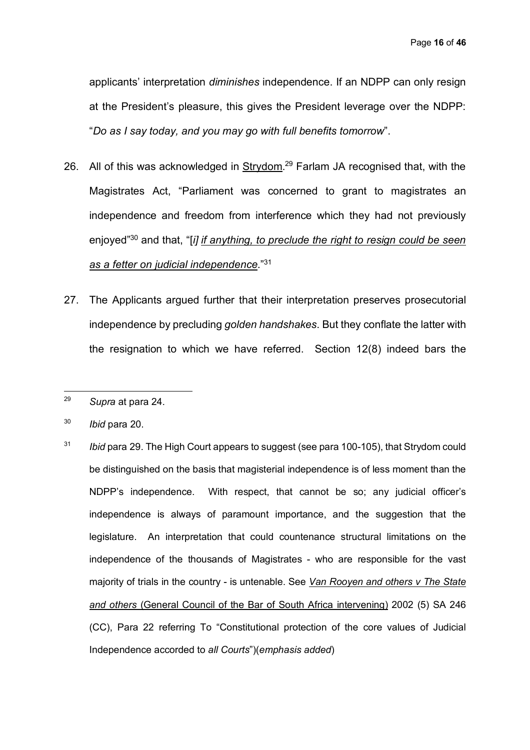applicants' interpretation *diminishes* independence. If an NDPP can only resign at the President's pleasure, this gives the President leverage over the NDPP: "*Do as I say today, and you may go with full benefits tomorrow*".

- 26. All of this was acknowledged in Strydom.<sup>29</sup> Farlam JA recognised that, with the Magistrates Act, "Parliament was concerned to grant to magistrates an independence and freedom from interference which they had not previously enjoyed" <sup>30</sup> and that, "[*i] if anything, to preclude the right to resign could be seen as a fetter on judicial independence*."31
- 27. The Applicants argued further that their interpretation preserves prosecutorial independence by precluding *golden handshakes*. But they conflate the latter with the resignation to which we have referred. Section 12(8) indeed bars the

 $\overline{a}$ 

<sup>31</sup> *Ibid* para 29. The High Court appears to suggest (see para 100-105), that Strydom could be distinguished on the basis that magisterial independence is of less moment than the NDPP's independence. With respect, that cannot be so; any judicial officer's independence is always of paramount importance, and the suggestion that the legislature. An interpretation that could countenance structural limitations on the independence of the thousands of Magistrates - who are responsible for the vast majority of trials in the country - is untenable. See *Van Rooyen and others v The State and others* (General Council of the Bar of South Africa intervening) 2002 (5) SA 246 (CC), Para 22 referring To "Constitutional protection of the core values of Judicial Independence accorded to *all Courts*")(*emphasis added*)

<sup>29</sup> *Supra* at para 24.

<sup>30</sup> *Ibid* para 20.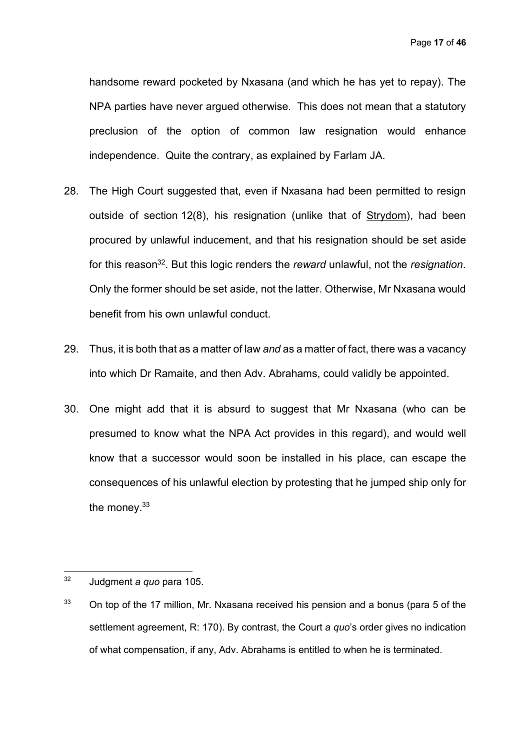handsome reward pocketed by Nxasana (and which he has yet to repay). The NPA parties have never argued otherwise. This does not mean that a statutory preclusion of the option of common law resignation would enhance independence. Quite the contrary, as explained by Farlam JA.

- 28. The High Court suggested that, even if Nxasana had been permitted to resign outside of section 12(8), his resignation (unlike that of Strydom), had been procured by unlawful inducement, and that his resignation should be set aside for this reason32. But this logic renders the *reward* unlawful, not the *resignation*. Only the former should be set aside, not the latter. Otherwise, Mr Nxasana would benefit from his own unlawful conduct.
- 29. Thus, it is both that as a matter of law *and* as a matter of fact, there was a vacancy into which Dr Ramaite, and then Adv. Abrahams, could validly be appointed.
- 30. One might add that it is absurd to suggest that Mr Nxasana (who can be presumed to know what the NPA Act provides in this regard), and would well know that a successor would soon be installed in his place, can escape the consequences of his unlawful election by protesting that he jumped ship only for the money.<sup>33</sup>

 $32$ <sup>32</sup> Judgment *a quo* para 105.

 $33$  On top of the 17 million, Mr. Nxasana received his pension and a bonus (para 5 of the settlement agreement, R: 170). By contrast, the Court *a quo*'s order gives no indication of what compensation, if any, Adv. Abrahams is entitled to when he is terminated.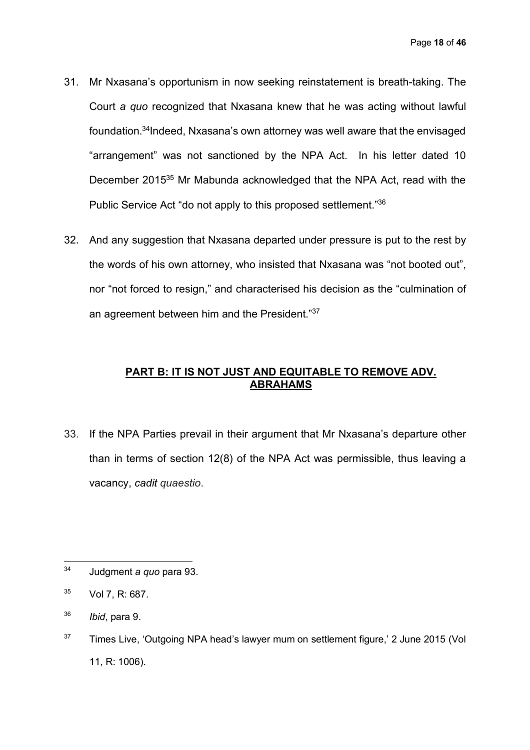- 31. Mr Nxasana's opportunism in now seeking reinstatement is breath-taking. The Court *a quo* recognized that Nxasana knew that he was acting without lawful foundation. 34Indeed, Nxasana's own attorney was well aware that the envisaged "arrangement" was not sanctioned by the NPA Act. In his letter dated 10 December 2015<sup>35</sup> Mr Mabunda acknowledged that the NPA Act, read with the Public Service Act "do not apply to this proposed settlement."36
- 32. And any suggestion that Nxasana departed under pressure is put to the rest by the words of his own attorney, who insisted that Nxasana was "not booted out", nor "not forced to resign," and characterised his decision as the "culmination of an agreement between him and the President."37

# **PART B: IT IS NOT JUST AND EQUITABLE TO REMOVE ADV. ABRAHAMS**

33. If the NPA Parties prevail in their argument that Mr Nxasana's departure other than in terms of section 12(8) of the NPA Act was permissible, thus leaving a vacancy, *cadit quaestio*.

<sup>34</sup> <sup>34</sup> Judgment *a quo* para 93.

 $35$  Vol 7, R: 687.

<sup>36</sup> *Ibid*, para 9.

 $37$  Times Live, 'Outgoing NPA head's lawyer mum on settlement figure,' 2 June 2015 (Vol 11, R: 1006).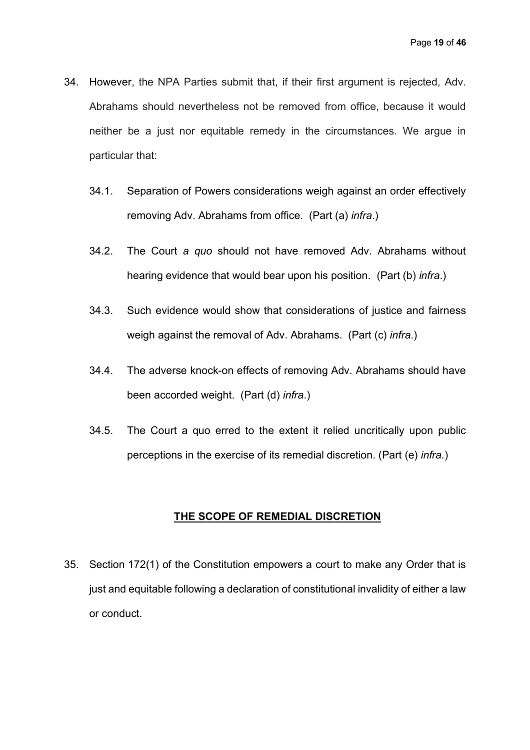- 34. However, the NPA Parties submit that, if their first argument is rejected, Adv. Abrahams should nevertheless not be removed from office, because it would neither be a just nor equitable remedy in the circumstances. We argue in particular that:
	- 34.1. Separation of Powers considerations weigh against an order effectively removing Adv. Abrahams from office. (Part (a) *infra*.)
	- 34.2. The Court *a quo* should not have removed Adv. Abrahams without hearing evidence that would bear upon his position. (Part (b) *infra*.)
	- 34.3. Such evidence would show that considerations of justice and fairness weigh against the removal of Adv. Abrahams. (Part (c) *infra*.)
	- 34.4. The adverse knock-on effects of removing Adv. Abrahams should have been accorded weight. (Part (d) *infra*.)
	- 34.5. The Court a quo erred to the extent it relied uncritically upon public perceptions in the exercise of its remedial discretion. (Part (e) *infra.*)

## **THE SCOPE OF REMEDIAL DISCRETION**

35. Section 172(1) of the Constitution empowers a court to make any Order that is just and equitable following a declaration of constitutional invalidity of either a law or conduct.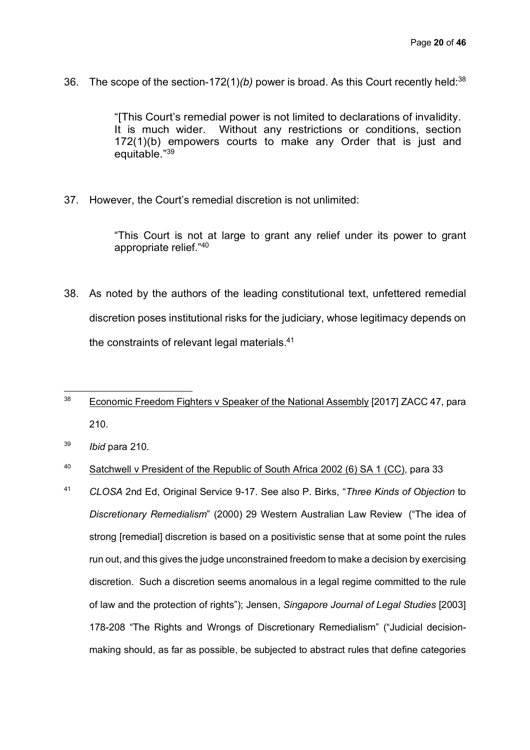36. The scope of the section-172(1)*(b)* power is broad. As this Court recently held:38

"[This Court's remedial power is not limited to declarations of invalidity. It is much wider. Without any restrictions or conditions, section 172(1)(b) empowers courts to make any Order that is just and equitable."39

37. However, the Court's remedial discretion is not unlimited:

"This Court is not at large to grant any relief under its power to grant appropriate relief."40

- 38. As noted by the authors of the leading constitutional text, unfettered remedial discretion poses institutional risks for the judiciary, whose legitimacy depends on the constraints of relevant legal materials.41
- $\overline{a}$ <sup>38</sup> Economic Freedom Fighters v Speaker of the National Assembly [2017] ZACC 47, para 210.
- <sup>39</sup> *Ibid* para 210.
- <sup>40</sup> Satchwell v President of the Republic of South Africa 2002 (6) SA 1 (CC), para 33
- <sup>41</sup> *CLOSA* 2nd Ed, Original Service 9-17. See also P. Birks, "*Three Kinds of Objection* to *Discretionary Remedialism*" (2000) 29 Western Australian Law Review ("The idea of strong [remedial] discretion is based on a positivistic sense that at some point the rules run out, and this gives the judge unconstrained freedom to make a decision by exercising discretion. Such a discretion seems anomalous in a legal regime committed to the rule of law and the protection of rights"); Jensen, *Singapore Journal of Legal Studies* [2003] 178-208 "The Rights and Wrongs of Discretionary Remedialism" ("Judicial decisionmaking should, as far as possible, be subjected to abstract rules that define categories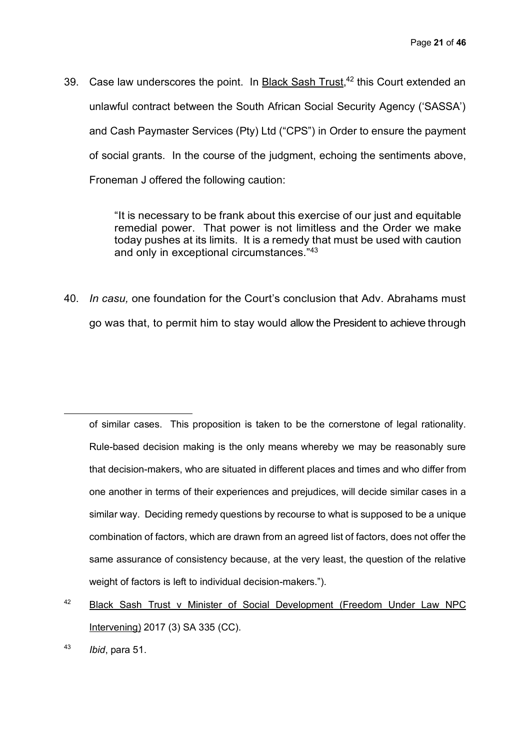39. Case law underscores the point. In Black Sash Trust,<sup>42</sup> this Court extended an unlawful contract between the South African Social Security Agency ('SASSA') and Cash Paymaster Services (Pty) Ltd ("CPS") in Order to ensure the payment of social grants. In the course of the judgment, echoing the sentiments above, Froneman J offered the following caution:

> "It is necessary to be frank about this exercise of our just and equitable remedial power. That power is not limitless and the Order we make today pushes at its limits. It is a remedy that must be used with caution and only in exceptional circumstances."43

40. *In casu,* one foundation for the Court's conclusion that Adv. Abrahams must go was that, to permit him to stay would allow the President to achieve through

of similar cases. This proposition is taken to be the cornerstone of legal rationality. Rule-based decision making is the only means whereby we may be reasonably sure that decision-makers, who are situated in different places and times and who differ from one another in terms of their experiences and prejudices, will decide similar cases in a similar way. Deciding remedy questions by recourse to what is supposed to be a unique combination of factors, which are drawn from an agreed list of factors, does not offer the same assurance of consistency because, at the very least, the question of the relative weight of factors is left to individual decision-makers.").

42 Black Sash Trust v Minister of Social Development (Freedom Under Law NPC Intervening) 2017 (3) SA 335 (CC).

 $\overline{a}$ 

<sup>43</sup> *Ibid*, para 51.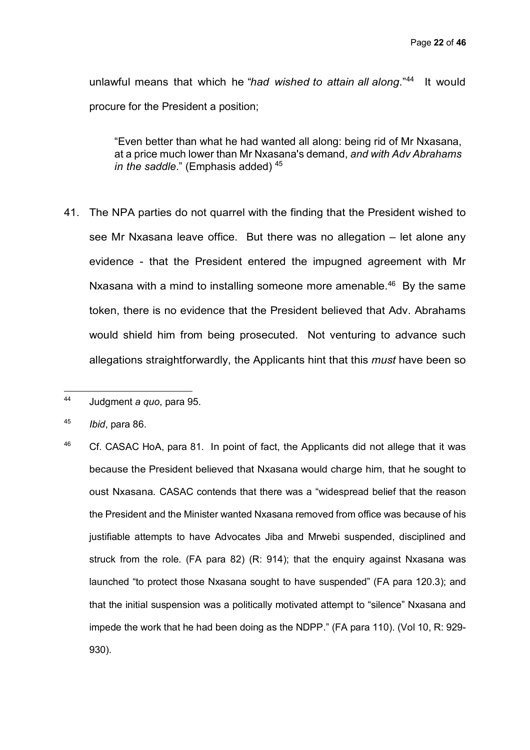unlawful means that which he "*had wished to attain all along*."44 It would procure for the President a position;

"Even better than what he had wanted all along: being rid of Mr Nxasana, at a price much lower than Mr Nxasana's demand, *and with Adv Abrahams in the saddle*." (Emphasis added) 45

41. The NPA parties do not quarrel with the finding that the President wished to see Mr Nxasana leave office. But there was no allegation – let alone any evidence - that the President entered the impugned agreement with Mr Nxasana with a mind to installing someone more amenable.<sup>46</sup> By the same token, there is no evidence that the President believed that Adv. Abrahams would shield him from being prosecuted. Not venturing to advance such allegations straightforwardly, the Applicants hint that this *must* have been so

 $\overline{a}$ 

 $46$  Cf. CASAC HoA, para 81. In point of fact, the Applicants did not allege that it was because the President believed that Nxasana would charge him, that he sought to oust Nxasana. CASAC contends that there was a "widespread belief that the reason the President and the Minister wanted Nxasana removed from office was because of his justifiable attempts to have Advocates Jiba and Mrwebi suspended, disciplined and struck from the role. (FA para 82) (R: 914); that the enquiry against Nxasana was launched "to protect those Nxasana sought to have suspended" (FA para 120.3); and that the initial suspension was a politically motivated attempt to "silence" Nxasana and impede the work that he had been doing as the NDPP." (FA para 110). (Vol 10, R: 929- 930).

<sup>44</sup> Judgment *a quo*, para 95.

<sup>45</sup> *Ibid*, para 86.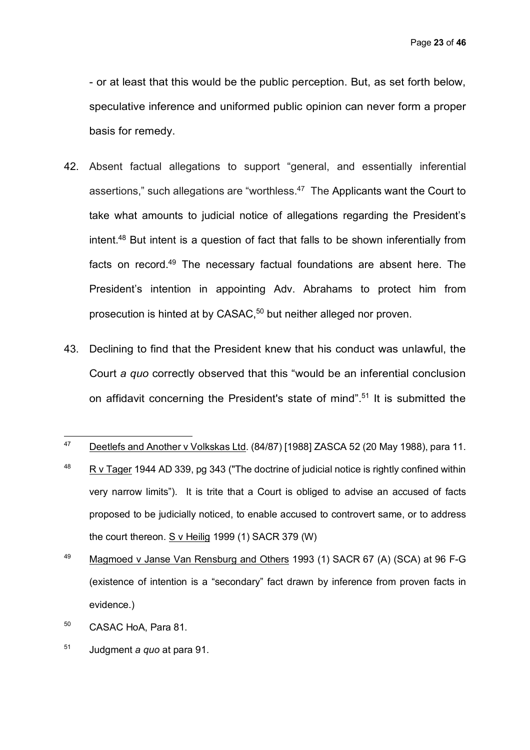- or at least that this would be the public perception. But, as set forth below, speculative inference and uniformed public opinion can never form a proper basis for remedy.

- 42. Absent factual allegations to support "general, and essentially inferential assertions," such allegations are "worthless. $47$  The Applicants want the Court to take what amounts to judicial notice of allegations regarding the President's intent. <sup>48</sup> But intent is a question of fact that falls to be shown inferentially from facts on record.<sup>49</sup> The necessary factual foundations are absent here. The President's intention in appointing Adv. Abrahams to protect him from prosecution is hinted at by CASAC, <sup>50</sup> but neither alleged nor proven.
- 43. Declining to find that the President knew that his conduct was unlawful, the Court *a quo* correctly observed that this "would be an inferential conclusion on affidavit concerning the President's state of mind".51 It is submitted the

- <sup>50</sup> CASAC HoA, Para 81.
- <sup>51</sup> Judgment *a quo* at para 91.

<sup>47</sup> <sup>47</sup> Deetlefs and Another v Volkskas Ltd. (84/87) [1988] ZASCA 52 (20 May 1988), para 11.

 $48$  R v Tager 1944 AD 339, pg 343 ("The doctrine of judicial notice is rightly confined within very narrow limits"). It is trite that a Court is obliged to advise an accused of facts proposed to be judicially noticed, to enable accused to controvert same, or to address the court thereon. S v Heilig 1999 (1) SACR 379 (W)

<sup>&</sup>lt;sup>49</sup> Magmoed v Janse Van Rensburg and Others 1993 (1) SACR 67 (A) (SCA) at 96 F-G (existence of intention is a "secondary" fact drawn by inference from proven facts in evidence.)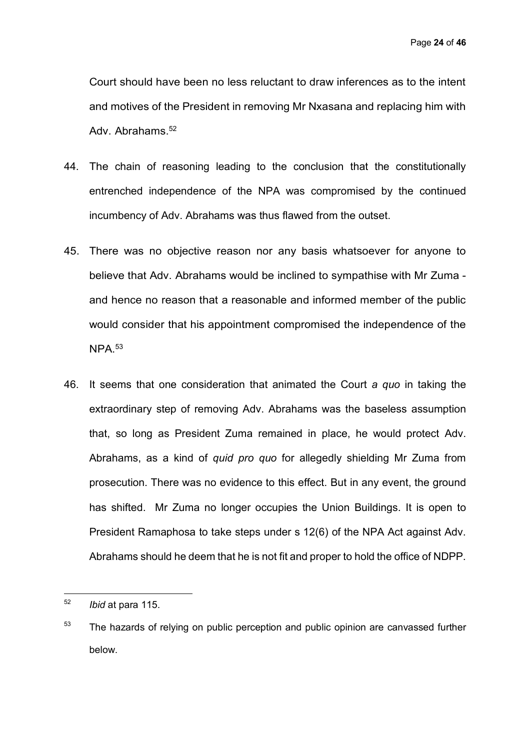Court should have been no less reluctant to draw inferences as to the intent and motives of the President in removing Mr Nxasana and replacing him with Adv. Abrahams.<sup>52</sup>

- 44. The chain of reasoning leading to the conclusion that the constitutionally entrenched independence of the NPA was compromised by the continued incumbency of Adv. Abrahams was thus flawed from the outset.
- 45. There was no objective reason nor any basis whatsoever for anyone to believe that Adv. Abrahams would be inclined to sympathise with Mr Zuma and hence no reason that a reasonable and informed member of the public would consider that his appointment compromised the independence of the NPA.53
- 46. It seems that one consideration that animated the Court *a quo* in taking the extraordinary step of removing Adv. Abrahams was the baseless assumption that, so long as President Zuma remained in place, he would protect Adv. Abrahams, as a kind of *quid pro quo* for allegedly shielding Mr Zuma from prosecution. There was no evidence to this effect. But in any event, the ground has shifted. Mr Zuma no longer occupies the Union Buildings. It is open to President Ramaphosa to take steps under s 12(6) of the NPA Act against Adv. Abrahams should he deem that he is not fit and proper to hold the office of NDPP.

<sup>52</sup> <sup>52</sup> *Ibid* at para 115.

 $53$  The hazards of relying on public perception and public opinion are canvassed further below.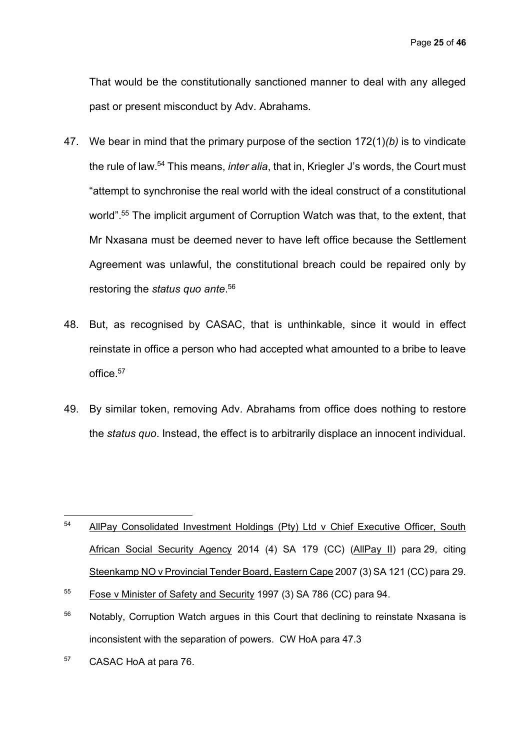Page **25** of **46**

That would be the constitutionally sanctioned manner to deal with any alleged past or present misconduct by Adv. Abrahams.

- 47. We bear in mind that the primary purpose of the section 172(1)*(b)* is to vindicate the rule of law.54 This means, *inter alia*, that in, Kriegler J's words, the Court must "attempt to synchronise the real world with the ideal construct of a constitutional world".<sup>55</sup> The implicit argument of Corruption Watch was that, to the extent, that Mr Nxasana must be deemed never to have left office because the Settlement Agreement was unlawful, the constitutional breach could be repaired only by restoring the *status quo ante*. 56
- 48. But, as recognised by CASAC, that is unthinkable, since it would in effect reinstate in office a person who had accepted what amounted to a bribe to leave office.<sup>57</sup>
- 49. By similar token, removing Adv. Abrahams from office does nothing to restore the *status quo*. Instead, the effect is to arbitrarily displace an innocent individual.

- $56$  Notably, Corruption Watch argues in this Court that declining to reinstate Nxasana is inconsistent with the separation of powers. CW HoA para 47.3
- <sup>57</sup> CASAC HoA at para 76.

<sup>54</sup> AllPay Consolidated Investment Holdings (Pty) Ltd v Chief Executive Officer, South African Social Security Agency 2014 (4) SA 179 (CC) (AllPay II) para 29, citing Steenkamp NO v Provincial Tender Board, Eastern Cape 2007 (3) SA 121 (CC) para 29.

<sup>55</sup> Fose v Minister of Safety and Security 1997 (3) SA 786 (CC) para 94.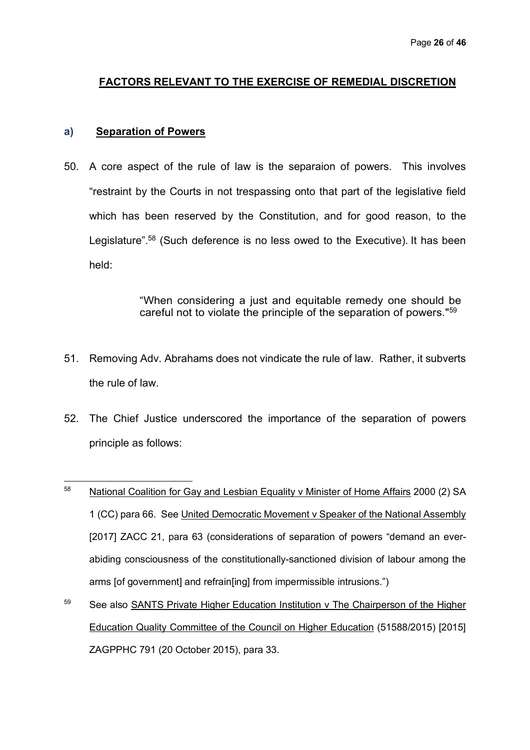# **FACTORS RELEVANT TO THE EXERCISE OF REMEDIAL DISCRETION**

#### **a) Separation of Powers**

50. A core aspect of the rule of law is the separaion of powers. This involves "restraint by the Courts in not trespassing onto that part of the legislative field which has been reserved by the Constitution, and for good reason, to the Legislature".<sup>58</sup> (Such deference is no less owed to the Executive). It has been held:

> "When considering a just and equitable remedy one should be careful not to violate the principle of the separation of powers."59

- 51. Removing Adv. Abrahams does not vindicate the rule of law. Rather, it subverts the rule of law.
- 52. The Chief Justice underscored the importance of the separation of powers principle as follows:
- $\overline{a}$ <sup>58</sup> National Coalition for Gay and Lesbian Equality v Minister of Home Affairs 2000 (2) SA 1 (CC) para 66. See United Democratic Movement v Speaker of the National Assembly [2017] ZACC 21, para 63 (considerations of separation of powers "demand an everabiding consciousness of the constitutionally-sanctioned division of labour among the arms [of government] and refrain[ing] from impermissible intrusions.")
- <sup>59</sup> See also SANTS Private Higher Education Institution v The Chairperson of the Higher Education Quality Committee of the Council on Higher Education (51588/2015) [2015] ZAGPPHC 791 (20 October 2015), para 33.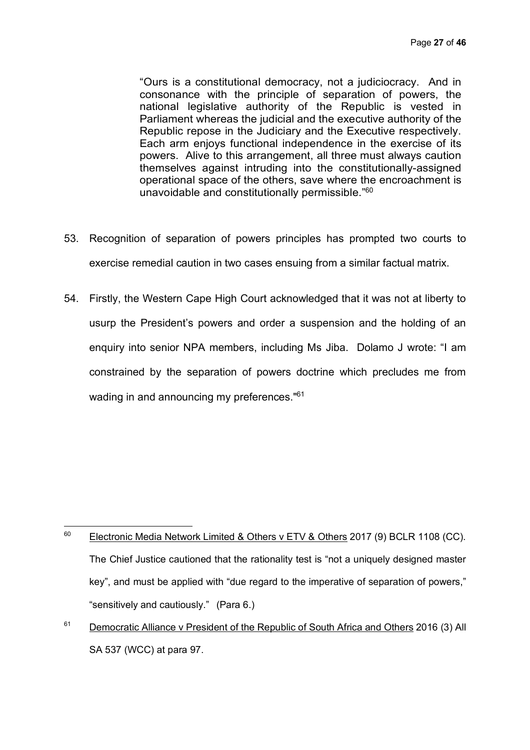"Ours is a constitutional democracy, not a judiciocracy. And in consonance with the principle of separation of powers, the national legislative authority of the Republic is vested in Parliament whereas the judicial and the executive authority of the Republic repose in the Judiciary and the Executive respectively. Each arm enjoys functional independence in the exercise of its powers. Alive to this arrangement, all three must always caution themselves against intruding into the constitutionally-assigned operational space of the others, save where the encroachment is unavoidable and constitutionally permissible."60

- 53. Recognition of separation of powers principles has prompted two courts to exercise remedial caution in two cases ensuing from a similar factual matrix.
- 54. Firstly, the Western Cape High Court acknowledged that it was not at liberty to usurp the President's powers and order a suspension and the holding of an enquiry into senior NPA members, including Ms Jiba. Dolamo J wrote: "I am constrained by the separation of powers doctrine which precludes me from wading in and announcing my preferences."<sup>61</sup>

<sup>61</sup> Democratic Alliance v President of the Republic of South Africa and Others 2016 (3) All SA 537 (WCC) at para 97.

<sup>60</sup> Electronic Media Network Limited & Others v ETV & Others 2017 (9) BCLR 1108 (CC). The Chief Justice cautioned that the rationality test is "not a uniquely designed master key", and must be applied with "due regard to the imperative of separation of powers," "sensitively and cautiously." (Para 6.)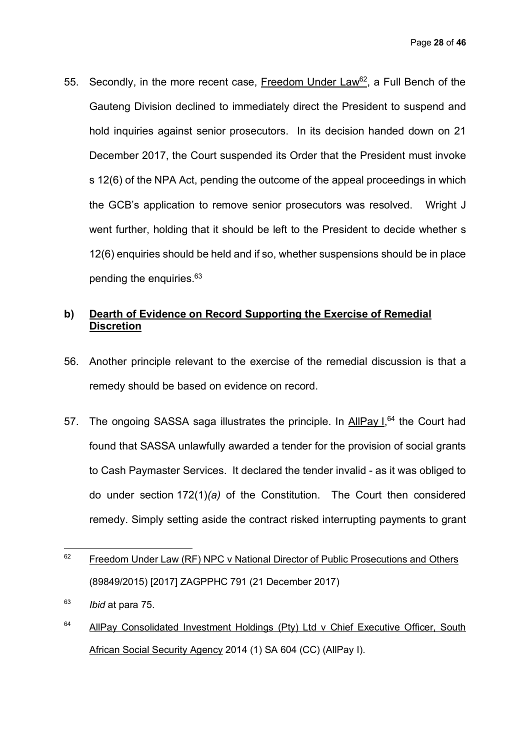55. Secondly, in the more recent case, Freedom Under Law<sup>62</sup>, a Full Bench of the Gauteng Division declined to immediately direct the President to suspend and hold inquiries against senior prosecutors. In its decision handed down on 21 December 2017, the Court suspended its Order that the President must invoke s 12(6) of the NPA Act, pending the outcome of the appeal proceedings in which the GCB's application to remove senior prosecutors was resolved. Wright J went further, holding that it should be left to the President to decide whether s 12(6) enquiries should be held and if so, whether suspensions should be in place pending the enquiries.63

# **b) Dearth of Evidence on Record Supporting the Exercise of Remedial Discretion**

- 56. Another principle relevant to the exercise of the remedial discussion is that a remedy should be based on evidence on record.
- 57. The ongoing SASSA saga illustrates the principle. In AllPay I,<sup>64</sup> the Court had found that SASSA unlawfully awarded a tender for the provision of social grants to Cash Paymaster Services. It declared the tender invalid - as it was obliged to do under section 172(1)*(a)* of the Constitution. The Court then considered remedy. Simply setting aside the contract risked interrupting payments to grant
- $\overline{a}$  $62$  Freedom Under Law (RF) NPC v National Director of Public Prosecutions and Others (89849/2015) [2017] ZAGPPHC 791 (21 December 2017)
- <sup>63</sup> *Ibid* at para 75.
- <sup>64</sup> AllPay Consolidated Investment Holdings (Pty) Ltd v Chief Executive Officer, South African Social Security Agency 2014 (1) SA 604 (CC) (AllPay I).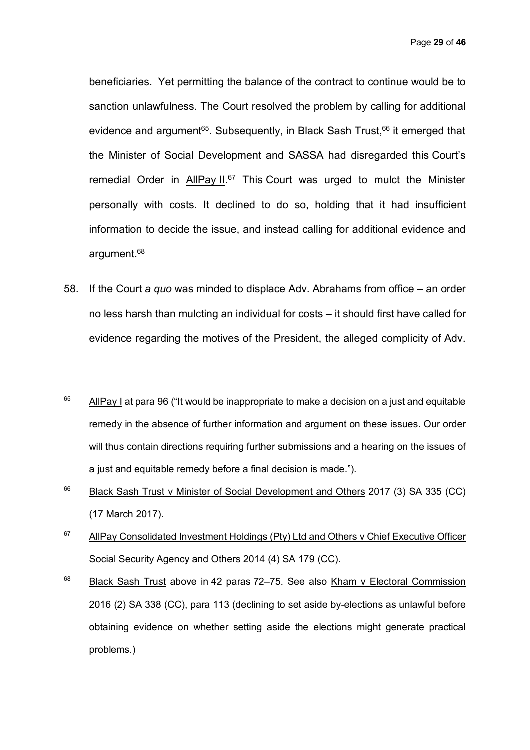Page **29** of **46**

beneficiaries. Yet permitting the balance of the contract to continue would be to sanction unlawfulness. The Court resolved the problem by calling for additional evidence and argument<sup>65</sup>. Subsequently, in **Black Sash Trust, <sup>66</sup> it emerged that** the Minister of Social Development and SASSA had disregarded this Court's remedial Order in AllPay II.<sup>67</sup> This Court was urged to mulct the Minister personally with costs. It declined to do so, holding that it had insufficient information to decide the issue, and instead calling for additional evidence and argument.<sup>68</sup>

58. If the Court *a quo* was minded to displace Adv. Abrahams from office – an order no less harsh than mulcting an individual for costs – it should first have called for evidence regarding the motives of the President, the alleged complicity of Adv.

- $66$  Black Sash Trust v Minister of Social Development and Others 2017 (3) SA 335 (CC) (17 March 2017).
- $67$  AllPay Consolidated Investment Holdings (Pty) Ltd and Others v Chief Executive Officer Social Security Agency and Others 2014 (4) SA 179 (CC).

<sup>65</sup> <sup>65</sup> AllPay I at para 96 ("It would be inappropriate to make a decision on a just and equitable remedy in the absence of further information and argument on these issues. Our order will thus contain directions requiring further submissions and a hearing on the issues of a just and equitable remedy before a final decision is made.").

<sup>&</sup>lt;sup>68</sup> Black Sash Trust above in 42 paras 72–75. See also Kham v Electoral Commission 2016 (2) SA 338 (CC), para 113 (declining to set aside by-elections as unlawful before obtaining evidence on whether setting aside the elections might generate practical problems.)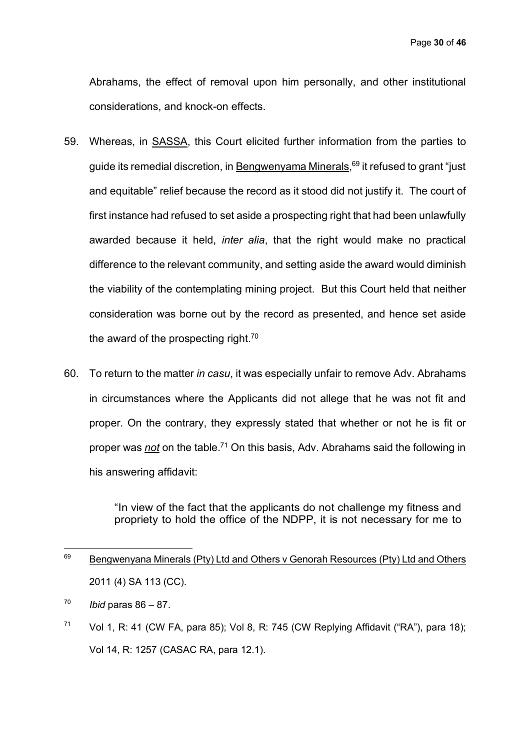Abrahams, the effect of removal upon him personally, and other institutional considerations, and knock-on effects.

- 59. Whereas, in SASSA, this Court elicited further information from the parties to guide its remedial discretion, in <u>Bengwenyama Minerals</u>,<sup>69</sup> it refused to grant "just and equitable" relief because the record as it stood did not justify it. The court of first instance had refused to set aside a prospecting right that had been unlawfully awarded because it held, *inter alia*, that the right would make no practical difference to the relevant community, and setting aside the award would diminish the viability of the contemplating mining project. But this Court held that neither consideration was borne out by the record as presented, and hence set aside the award of the prospecting right. $70$
- 60. To return to the matter *in casu*, it was especially unfair to remove Adv. Abrahams in circumstances where the Applicants did not allege that he was not fit and proper. On the contrary, they expressly stated that whether or not he is fit or proper was *not* on the table. <sup>71</sup> On this basis, Adv. Abrahams said the following in his answering affidavit:

"In view of the fact that the applicants do not challenge my fitness and propriety to hold the office of the NDPP, it is not necessary for me to

 $\overline{a}$ 

 $71$  Vol 1, R: 41 (CW FA, para 85); Vol 8, R: 745 (CW Replying Affidavit ("RA"), para 18); Vol 14, R: 1257 (CASAC RA, para 12.1).

 $69$  Bengwenyana Minerals (Pty) Ltd and Others v Genorah Resources (Pty) Ltd and Others 2011 (4) SA 113 (CC).

<sup>70</sup> *Ibid* paras 86 – 87.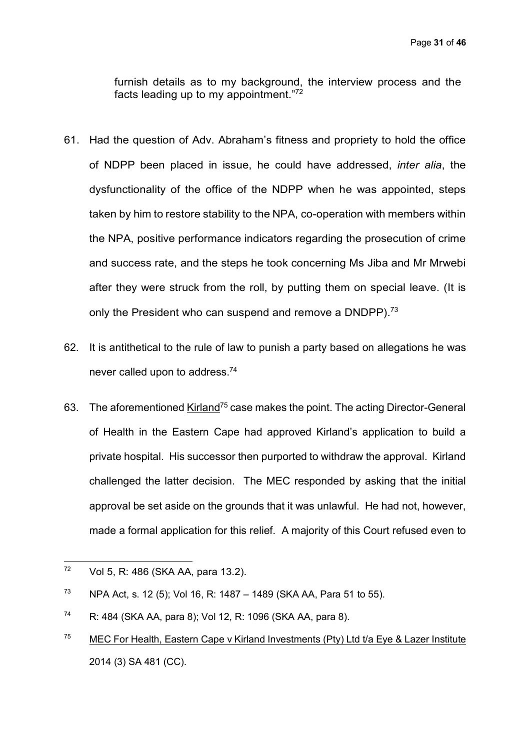furnish details as to my background, the interview process and the facts leading up to my appointment."72

- 61. Had the question of Adv. Abraham's fitness and propriety to hold the office of NDPP been placed in issue, he could have addressed, *inter alia*, the dysfunctionality of the office of the NDPP when he was appointed, steps taken by him to restore stability to the NPA, co-operation with members within the NPA, positive performance indicators regarding the prosecution of crime and success rate, and the steps he took concerning Ms Jiba and Mr Mrwebi after they were struck from the roll, by putting them on special leave. (It is only the President who can suspend and remove a DNDPP).<sup>73</sup>
- 62. It is antithetical to the rule of law to punish a party based on allegations he was never called upon to address.74
- 63. The aforementioned Kirland<sup>75</sup> case makes the point. The acting Director-General of Health in the Eastern Cape had approved Kirland's application to build a private hospital. His successor then purported to withdraw the approval. Kirland challenged the latter decision. The MEC responded by asking that the initial approval be set aside on the grounds that it was unlawful. He had not, however, made a formal application for this relief. A majority of this Court refused even to

 $72$ Vol 5, R: 486 (SKA AA, para 13.2).

<sup>&</sup>lt;sup>73</sup> NPA Act, s. 12 (5); Vol 16, R: 1487 – 1489 (SKA AA, Para 51 to 55).

<sup>74</sup> R: 484 (SKA AA, para 8); Vol 12, R: 1096 (SKA AA, para 8).

<sup>&</sup>lt;sup>75</sup> MEC For Health, Eastern Cape v Kirland Investments (Pty) Ltd t/a Eye & Lazer Institute 2014 (3) SA 481 (CC).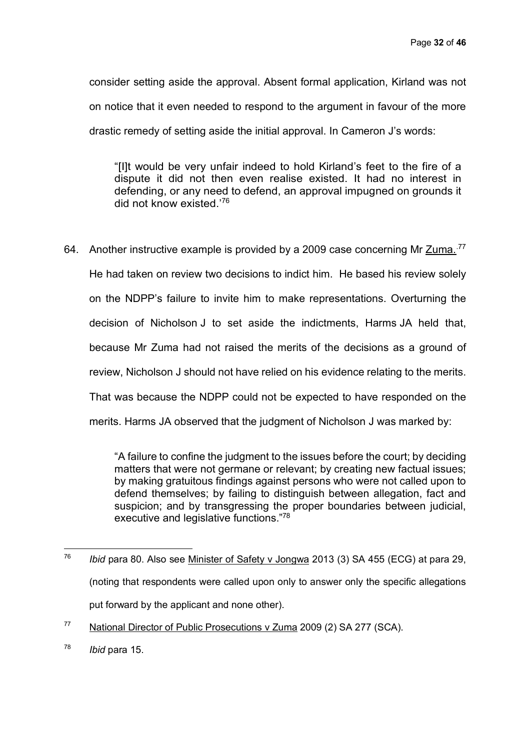consider setting aside the approval. Absent formal application, Kirland was not on notice that it even needed to respond to the argument in favour of the more drastic remedy of setting aside the initial approval. In Cameron J's words:

"[I]t would be very unfair indeed to hold Kirland's feet to the fire of a dispute it did not then even realise existed. It had no interest in defending, or any need to defend, an approval impugned on grounds it did not know existed.'76

64. Another instructive example is provided by a 2009 case concerning Mr Zuma.<sup>77</sup> He had taken on review two decisions to indict him. He based his review solely on the NDPP's failure to invite him to make representations. Overturning the decision of Nicholson J to set aside the indictments, Harms JA held that, because Mr Zuma had not raised the merits of the decisions as a ground of review, Nicholson J should not have relied on his evidence relating to the merits. That was because the NDPP could not be expected to have responded on the merits. Harms JA observed that the judgment of Nicholson J was marked by:

> "A failure to confine the judgment to the issues before the court; by deciding matters that were not germane or relevant; by creating new factual issues; by making gratuitous findings against persons who were not called upon to defend themselves; by failing to distinguish between allegation, fact and suspicion; and by transgressing the proper boundaries between judicial, executive and legislative functions."78

 $\overline{a}$ <sup>76</sup> *Ibid* para 80. Also see Minister of Safety v Jongwa 2013 (3) SA 455 (ECG) at para 29, (noting that respondents were called upon only to answer only the specific allegations put forward by the applicant and none other).

<sup>77</sup> National Director of Public Prosecutions v Zuma 2009 (2) SA 277 (SCA).

<sup>78</sup> *Ibid* para 15.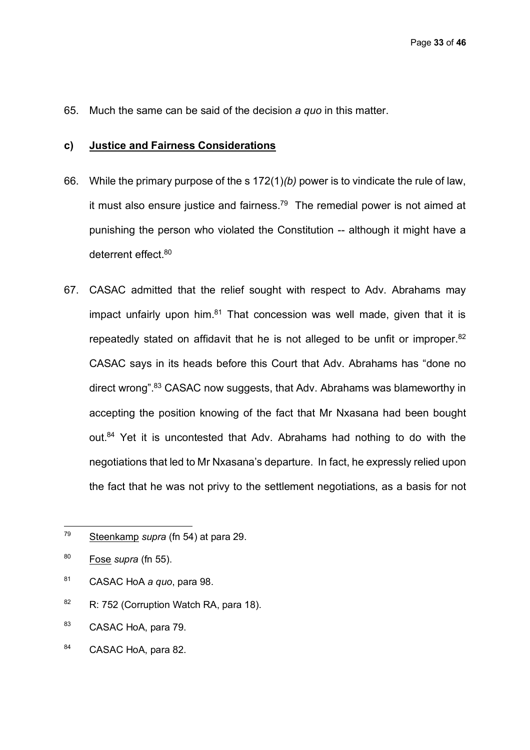65. Much the same can be said of the decision *a quo* in this matter.

#### **c) Justice and Fairness Considerations**

- 66. While the primary purpose of the s 172(1)*(b)* power is to vindicate the rule of law, it must also ensure justice and fairness.<sup>79</sup> The remedial power is not aimed at punishing the person who violated the Constitution -- although it might have a deterrent effect.<sup>80</sup>
- 67. CASAC admitted that the relief sought with respect to Adv. Abrahams may impact unfairly upon him. $81$  That concession was well made, given that it is repeatedly stated on affidavit that he is not alleged to be unfit or improper.<sup>82</sup> CASAC says in its heads before this Court that Adv. Abrahams has "done no direct wrong".<sup>83</sup> CASAC now suggests, that Adv. Abrahams was blameworthy in accepting the position knowing of the fact that Mr Nxasana had been bought out.<sup>84</sup> Yet it is uncontested that Adv. Abrahams had nothing to do with the negotiations that led to Mr Nxasana's departure. In fact, he expressly relied upon the fact that he was not privy to the settlement negotiations, as a basis for not

- <sup>81</sup> CASAC HoA *a quo*, para 98.
- 82 R: 752 (Corruption Watch RA, para 18).
- 83 CASAC HoA, para 79.
- 84 CASAC HoA, para 82.

<sup>79</sup> Steenkamp *supra* (fn 54) at para 29.

<sup>80</sup> Fose *supra* (fn 55).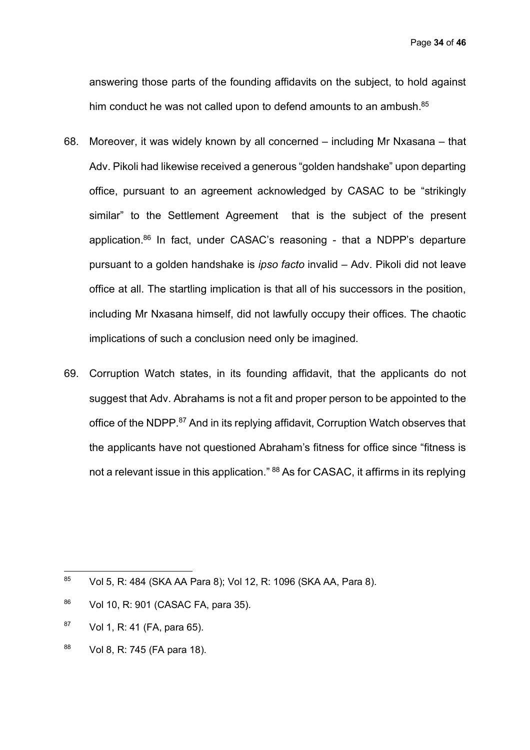Page **34** of **46**

answering those parts of the founding affidavits on the subject, to hold against him conduct he was not called upon to defend amounts to an ambush.<sup>85</sup>

- 68. Moreover, it was widely known by all concerned including Mr Nxasana that Adv. Pikoli had likewise received a generous "golden handshake" upon departing office, pursuant to an agreement acknowledged by CASAC to be "strikingly similar" to the Settlement Agreement that is the subject of the present application.86 In fact, under CASAC's reasoning - that a NDPP's departure pursuant to a golden handshake is *ipso facto* invalid – Adv. Pikoli did not leave office at all. The startling implication is that all of his successors in the position, including Mr Nxasana himself, did not lawfully occupy their offices. The chaotic implications of such a conclusion need only be imagined.
- 69. Corruption Watch states, in its founding affidavit, that the applicants do not suggest that Adv. Abrahams is not a fit and proper person to be appointed to the office of the NDPP.<sup>87</sup> And in its replying affidavit, Corruption Watch observes that the applicants have not questioned Abraham's fitness for office since "fitness is not a relevant issue in this application." <sup>88</sup> As for CASAC, it affirms in its replying

- $87$  Vol 1, R: 41 (FA, para 65).
- <sup>88</sup> Vol 8, R: 745 (FA para 18).

<sup>85</sup> <sup>85</sup> Vol 5, R: 484 (SKA AA Para 8); Vol 12, R: 1096 (SKA AA, Para 8).

<sup>86</sup> Vol 10, R: 901 (CASAC FA, para 35).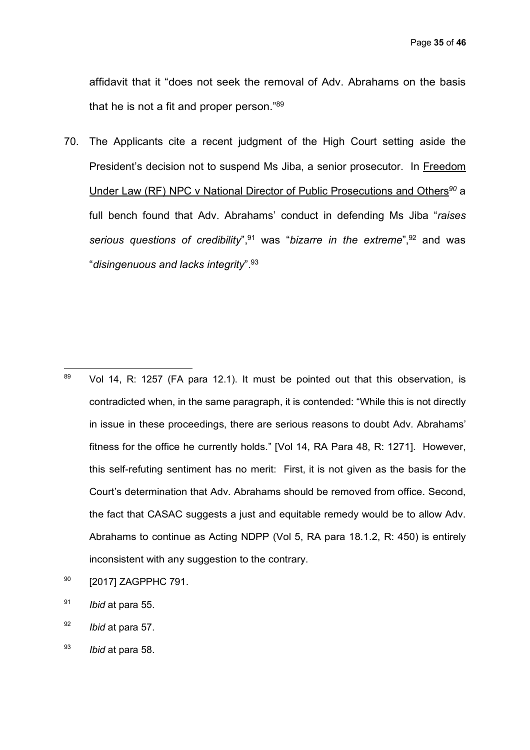Page **35** of **46**

affidavit that it "does not seek the removal of Adv. Abrahams on the basis that he is not a fit and proper person."89

70. The Applicants cite a recent judgment of the High Court setting aside the President's decision not to suspend Ms Jiba, a senior prosecutor. In Freedom Under Law (RF) NPC v National Director of Public Prosecutions and Others*<sup>90</sup>* a full bench found that Adv. Abrahams' conduct in defending Ms Jiba "*raises serious questions of credibility*",91 was "*bizarre in the extreme*",92 and was "*disingenuous and lacks integrity*".93

- 89 Vol 14, R: 1257 (FA para 12.1). It must be pointed out that this observation, is contradicted when, in the same paragraph, it is contended: "While this is not directly in issue in these proceedings, there are serious reasons to doubt Adv. Abrahams' fitness for the office he currently holds." [Vol 14, RA Para 48, R: 1271]. However, this self-refuting sentiment has no merit: First, it is not given as the basis for the Court's determination that Adv. Abrahams should be removed from office. Second, the fact that CASAC suggests a just and equitable remedy would be to allow Adv. Abrahams to continue as Acting NDPP (Vol 5, RA para 18.1.2, R: 450) is entirely inconsistent with any suggestion to the contrary.
- 90 [2017] ZAGPPHC 791.
- <sup>91</sup> *Ibid* at para 55.
- <sup>92</sup> *Ibid* at para 57.
- <sup>93</sup> *Ibid* at para 58.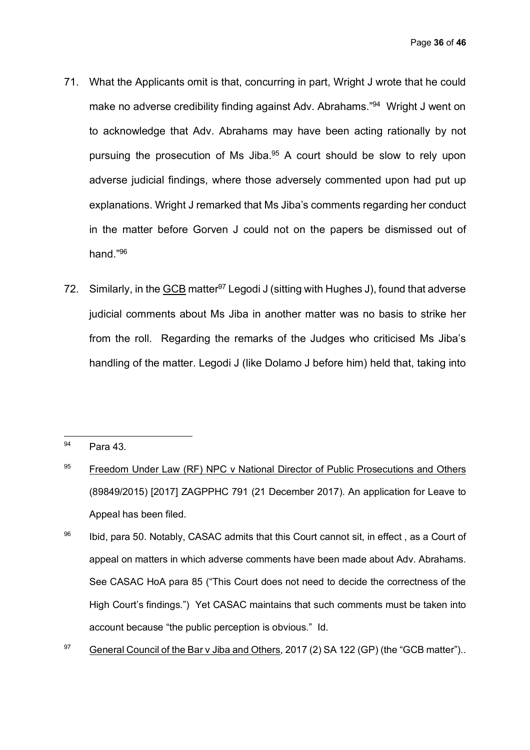- 71. What the Applicants omit is that, concurring in part, Wright J wrote that he could make no adverse credibility finding against Adv. Abrahams."<sup>94</sup> Wright J went on to acknowledge that Adv. Abrahams may have been acting rationally by not pursuing the prosecution of Ms Jiba.<sup>95</sup> A court should be slow to rely upon adverse judicial findings, where those adversely commented upon had put up explanations. Wright J remarked that Ms Jiba's comments regarding her conduct in the matter before Gorven J could not on the papers be dismissed out of hand."96
- 72. Similarly, in the **GCB** matter<sup>97</sup> Legodi J (sitting with Hughes J), found that adverse judicial comments about Ms Jiba in another matter was no basis to strike her from the roll. Regarding the remarks of the Judges who criticised Ms Jiba's handling of the matter. Legodi J (like Dolamo J before him) held that, taking into

<sup>97</sup> General Council of the Bar v Jiba and Others, 2017 (2) SA 122 (GP) (the "GCB matter")..

<sup>94</sup> Para 43.

 $95$  Freedom Under Law (RF) NPC v National Director of Public Prosecutions and Others (89849/2015) [2017] ZAGPPHC 791 (21 December 2017). An application for Leave to Appeal has been filed.

 $96$  Ibid, para 50. Notably, CASAC admits that this Court cannot sit, in effect, as a Court of appeal on matters in which adverse comments have been made about Adv. Abrahams. See CASAC HoA para 85 ("This Court does not need to decide the correctness of the High Court's findings.") Yet CASAC maintains that such comments must be taken into account because "the public perception is obvious." Id.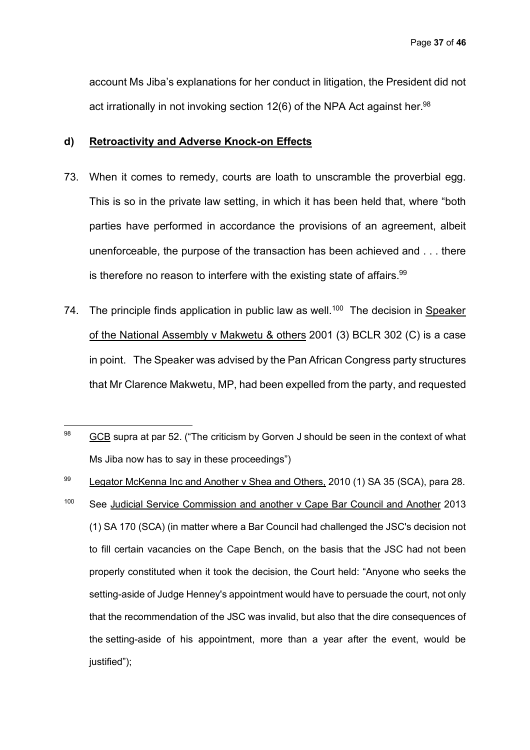account Ms Jiba's explanations for her conduct in litigation, the President did not act irrationally in not invoking section  $12(6)$  of the NPA Act against her.<sup>98</sup>

#### **d) Retroactivity and Adverse Knock-on Effects**

- 73. When it comes to remedy, courts are loath to unscramble the proverbial egg. This is so in the private law setting, in which it has been held that, where "both parties have performed in accordance the provisions of an agreement, albeit unenforceable, the purpose of the transaction has been achieved and . . . there is therefore no reason to interfere with the existing state of affairs.<sup>99</sup>
- 74. The principle finds application in public law as well.<sup>100</sup> The decision in Speaker of the National Assembly v Makwetu & others 2001 (3) BCLR 302 (C) is a case in point. The Speaker was advised by the Pan African Congress party structures that Mr Clarence Makwetu, MP, had been expelled from the party, and requested

99 Legator McKenna Inc and Another v Shea and Others, 2010 (1) SA 35 (SCA), para 28. <sup>100</sup> See Judicial Service Commission and another v Cape Bar Council and Another 2013 (1) SA 170 (SCA) (in matter where a Bar Council had challenged the JSC's decision not to fill certain vacancies on the Cape Bench, on the basis that the JSC had not been properly constituted when it took the decision, the Court held: "Anyone who seeks the setting-aside of Judge Henney's appointment would have to persuade the court, not only that the recommendation of the JSC was invalid, but also that the dire consequences of the setting-aside of his appointment, more than a year after the event, would be justified");

<sup>98</sup> GCB supra at par 52. ("The criticism by Gorven J should be seen in the context of what Ms Jiba now has to say in these proceedings")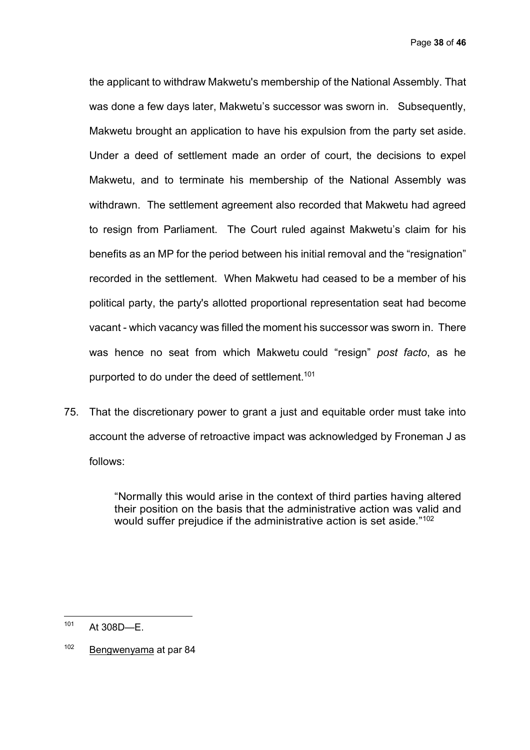Page **38** of **46**

the applicant to withdraw Makwetu's membership of the National Assembly. That was done a few days later, Makwetu's successor was sworn in. Subsequently, Makwetu brought an application to have his expulsion from the party set aside. Under a deed of settlement made an order of court, the decisions to expel Makwetu, and to terminate his membership of the National Assembly was withdrawn. The settlement agreement also recorded that Makwetu had agreed to resign from Parliament. The Court ruled against Makwetu's claim for his benefits as an MP for the period between his initial removal and the "resignation" recorded in the settlement. When Makwetu had ceased to be a member of his political party, the party's allotted proportional representation seat had become vacant - which vacancy was filled the moment his successor was sworn in. There was hence no seat from which Makwetu could "resign" *post facto*, as he purported to do under the deed of settlement.<sup>101</sup>

75. That the discretionary power to grant a just and equitable order must take into account the adverse of retroactive impact was acknowledged by Froneman J as follows:

> "Normally this would arise in the context of third parties having altered their position on the basis that the administrative action was valid and would suffer prejudice if the administrative action is set aside."<sup>102</sup>

 $101$ At 308D-E.

<sup>102</sup> Bengwenyama at par 84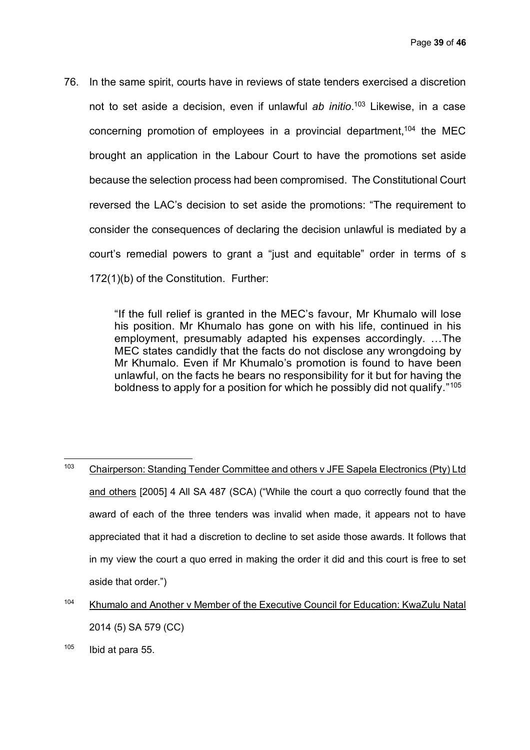76. In the same spirit, courts have in reviews of state tenders exercised a discretion not to set aside a decision, even if unlawful *ab initio*. <sup>103</sup> Likewise, in a case concerning promotion of employees in a provincial department, <sup>104</sup> the MEC brought an application in the Labour Court to have the promotions set aside because the selection process had been compromised. The Constitutional Court reversed the LAC's decision to set aside the promotions: "The requirement to consider the consequences of declaring the decision unlawful is mediated by a court's remedial powers to grant a "just and equitable" order in terms of s 172(1)(b) of the Constitution. Further:

> "If the full relief is granted in the MEC's favour, Mr Khumalo will lose his position. Mr Khumalo has gone on with his life, continued in his employment, presumably adapted his expenses accordingly. …The MEC states candidly that the facts do not disclose any wrongdoing by Mr Khumalo. Even if Mr Khumalo's promotion is found to have been unlawful, on the facts he bears no responsibility for it but for having the boldness to apply for a position for which he possibly did not qualify."105

 $103$ <sup>103</sup> Chairperson: Standing Tender Committee and others v JFE Sapela Electronics (Pty) Ltd and others [2005] 4 All SA 487 (SCA) ("While the court a quo correctly found that the award of each of the three tenders was invalid when made, it appears not to have appreciated that it had a discretion to decline to set aside those awards. It follows that in my view the court a quo erred in making the order it did and this court is free to set aside that order.")

<sup>104</sup> Khumalo and Another v Member of the Executive Council for Education: KwaZulu Natal 2014 (5) SA 579 (CC)

 $105$  Ibid at para 55.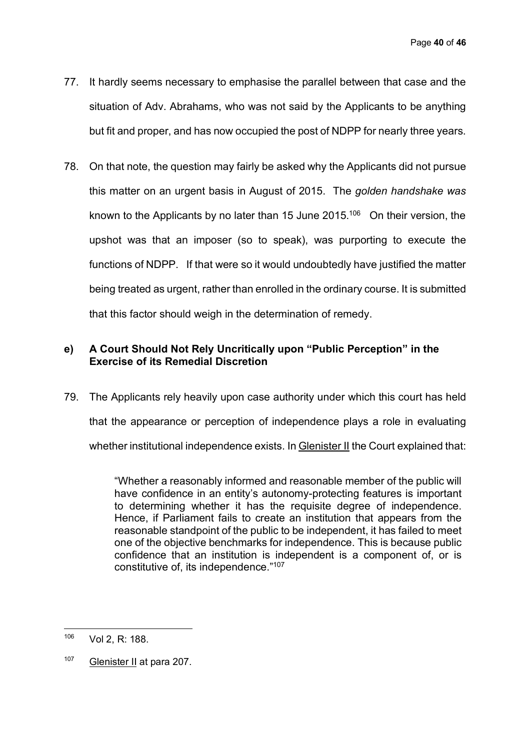- 77. It hardly seems necessary to emphasise the parallel between that case and the situation of Adv. Abrahams, who was not said by the Applicants to be anything but fit and proper, and has now occupied the post of NDPP for nearly three years.
- 78. On that note, the question may fairly be asked why the Applicants did not pursue this matter on an urgent basis in August of 2015. The *golden handshake was* known to the Applicants by no later than 15 June  $2015$ .<sup>106</sup> On their version, the upshot was that an imposer (so to speak), was purporting to execute the functions of NDPP. If that were so it would undoubtedly have justified the matter being treated as urgent, rather than enrolled in the ordinary course. It is submitted that this factor should weigh in the determination of remedy.

# **e) A Court Should Not Rely Uncritically upon "Public Perception" in the Exercise of its Remedial Discretion**

79. The Applicants rely heavily upon case authority under which this court has held that the appearance or perception of independence plays a role in evaluating whether institutional independence exists. In Glenister II the Court explained that:

> "Whether a reasonably informed and reasonable member of the public will have confidence in an entity's autonomy-protecting features is important to determining whether it has the requisite degree of independence. Hence, if Parliament fails to create an institution that appears from the reasonable standpoint of the public to be independent, it has failed to meet one of the objective benchmarks for independence. This is because public confidence that an institution is independent is a component of, or is constitutive of, its independence."107

 $\overline{a}$ 

<sup>106</sup> Vol 2, R: 188.

<sup>107</sup> Glenister II at para 207.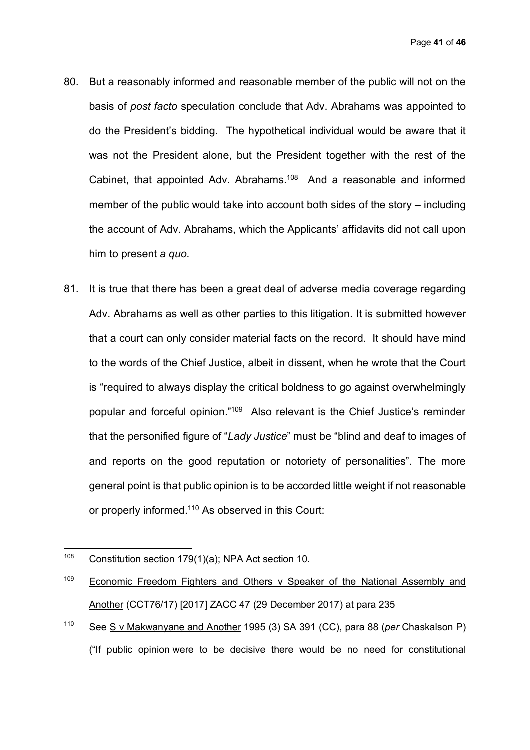- 80. But a reasonably informed and reasonable member of the public will not on the basis of *post facto* speculation conclude that Adv. Abrahams was appointed to do the President's bidding. The hypothetical individual would be aware that it was not the President alone, but the President together with the rest of the Cabinet, that appointed Adv. Abrahams.108 And a reasonable and informed member of the public would take into account both sides of the story – including the account of Adv. Abrahams, which the Applicants' affidavits did not call upon him to present *a quo.*
- 81. It is true that there has been a great deal of adverse media coverage regarding Adv. Abrahams as well as other parties to this litigation. It is submitted however that a court can only consider material facts on the record. It should have mind to the words of the Chief Justice, albeit in dissent, when he wrote that the Court is "required to always display the critical boldness to go against overwhelmingly popular and forceful opinion."109 Also relevant is the Chief Justice's reminder that the personified figure of "*Lady Justice*" must be "blind and deaf to images of and reports on the good reputation or notoriety of personalities". The more general point is that public opinion is to be accorded little weight if not reasonable or properly informed.<sup>110</sup> As observed in this Court:

 $\overline{a}$ 

<sup>110</sup> See S v Makwanyane and Another 1995 (3) SA 391 (CC), para 88 (*per* Chaskalson P) ("If public opinion were to be decisive there would be no need for constitutional

<sup>&</sup>lt;sup>108</sup> Constitution section 179(1)(a); NPA Act section 10.

<sup>&</sup>lt;sup>109</sup> Economic Freedom Fighters and Others v Speaker of the National Assembly and Another (CCT76/17) [2017] ZACC 47 (29 December 2017) at para 235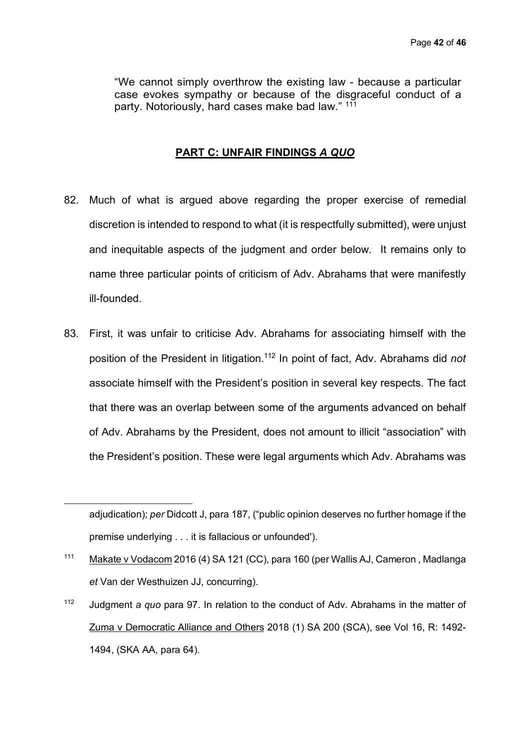"We cannot simply overthrow the existing law - because a particular case evokes sympathy or because of the disgraceful conduct of a party. Notoriously, hard cases make bad law." 111

## **PART C: UNFAIR FINDINGS** *A QUO*

- 82. Much of what is argued above regarding the proper exercise of remedial discretion is intended to respond to what (it is respectfully submitted), were unjust and inequitable aspects of the judgment and order below. It remains only to name three particular points of criticism of Adv. Abrahams that were manifestly ill-founded.
- 83. First, it was unfair to criticise Adv. Abrahams for associating himself with the position of the President in litigation.112 In point of fact, Adv. Abrahams did *not* associate himself with the President's position in several key respects. The fact that there was an overlap between some of the arguments advanced on behalf of Adv. Abrahams by the President, does not amount to illicit "association" with the President's position. These were legal arguments which Adv. Abrahams was

 $\overline{a}$ 

adjudication); *per* Didcott J, para 187, ("public opinion deserves no further homage if the premise underlying . . . it is fallacious or unfounded').

<sup>111</sup> Makate v Vodacom 2016 (4) SA 121 (CC), para 160 (per Wallis AJ, Cameron , Madlanga *et* Van der Westhuizen JJ, concurring).

<sup>112</sup> Judgment *a quo* para 97. In relation to the conduct of Adv. Abrahams in the matter of Zuma v Democratic Alliance and Others 2018 (1) SA 200 (SCA), see Vol 16, R: 1492- 1494, (SKA AA, para 64).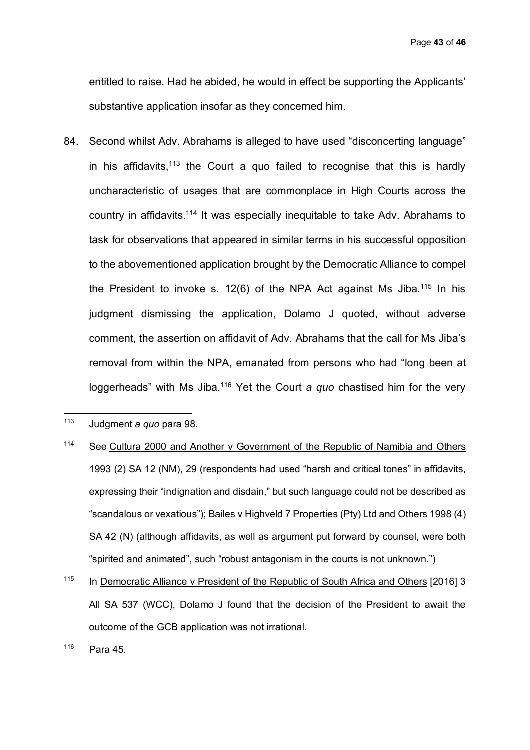Page **43** of **46**

entitled to raise. Had he abided, he would in effect be supporting the Applicants' substantive application insofar as they concerned him.

84. Second whilst Adv. Abrahams is alleged to have used "disconcerting language" in his affidavits, $113$  the Court a quo failed to recognise that this is hardly uncharacteristic of usages that are commonplace in High Courts across the country in affidavits.114 It was especially inequitable to take Adv. Abrahams to task for observations that appeared in similar terms in his successful opposition to the abovementioned application brought by the Democratic Alliance to compel the President to invoke s.  $12(6)$  of the NPA Act against Ms Jiba.<sup>115</sup> In his judgment dismissing the application, Dolamo J quoted, without adverse comment, the assertion on affidavit of Adv. Abrahams that the call for Ms Jiba's removal from within the NPA, emanated from persons who had "long been at loggerheads" with Ms Jiba.116 Yet the Court *a quo* chastised him for the very

 $\overline{a}$ 

- <sup>114</sup> See Cultura 2000 and Another v Government of the Republic of Namibia and Others 1993 (2) SA 12 (NM), 29 (respondents had used "harsh and critical tones" in affidavits, expressing their "indignation and disdain," but such language could not be described as "scandalous or vexatious"); Bailes v Highveld 7 Properties (Pty) Ltd and Others 1998 (4) SA 42 (N) (although affidavits, as well as argument put forward by counsel, were both "spirited and animated", such "robust antagonism in the courts is not unknown.")
- <sup>115</sup> In Democratic Alliance v President of the Republic of South Africa and Others [2016] 3 All SA 537 (WCC), Dolamo J found that the decision of the President to await the outcome of the GCB application was not irrational.

<sup>113</sup> Judgment *a quo* para 98.

<sup>116</sup> Para 45.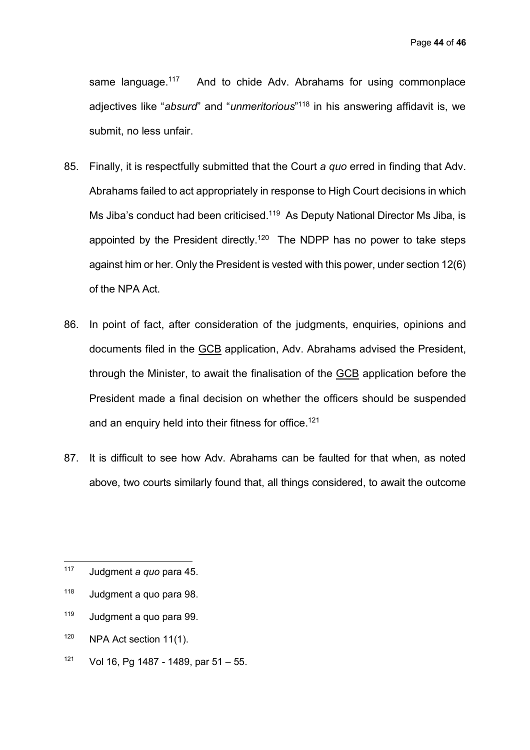same language.<sup>117</sup> And to chide Adv. Abrahams for using commonplace adjectives like "*absurd*" and "*unmeritorious*" <sup>118</sup> in his answering affidavit is, we submit, no less unfair.

- 85. Finally, it is respectfully submitted that the Court *a quo* erred in finding that Adv. Abrahams failed to act appropriately in response to High Court decisions in which Ms Jiba's conduct had been criticised.<sup>119</sup> As Deputy National Director Ms Jiba, is appointed by the President directly.<sup>120</sup> The NDPP has no power to take steps against him or her. Only the President is vested with this power, under section 12(6) of the NPA Act.
- 86. In point of fact, after consideration of the judgments, enquiries, opinions and documents filed in the GCB application, Adv. Abrahams advised the President, through the Minister, to await the finalisation of the GCB application before the President made a final decision on whether the officers should be suspended and an enquiry held into their fitness for office.<sup>121</sup>
- 87. It is difficult to see how Adv. Abrahams can be faulted for that when, as noted above, two courts similarly found that, all things considered, to await the outcome

- <sup>119</sup> Judgment a quo para 99.
- <sup>120</sup> NPA Act section 11(1).
- $121$  Vol 16, Pg 1487 1489, par 51 55.

<sup>117</sup> <sup>117</sup> Judgment *a quo* para 45.

<sup>118</sup> Judgment a quo para 98.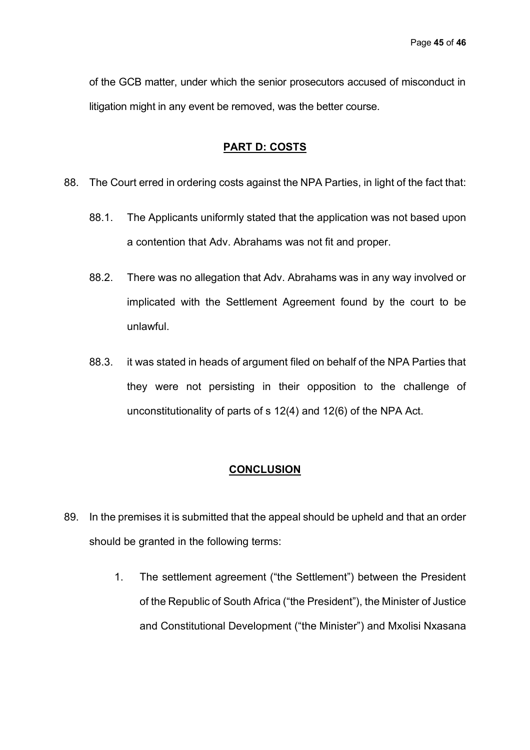of the GCB matter, under which the senior prosecutors accused of misconduct in litigation might in any event be removed, was the better course.

# **PART D: COSTS**

- 88. The Court erred in ordering costs against the NPA Parties, in light of the fact that:
	- 88.1. The Applicants uniformly stated that the application was not based upon a contention that Adv. Abrahams was not fit and proper.
	- 88.2. There was no allegation that Adv. Abrahams was in any way involved or implicated with the Settlement Agreement found by the court to be unlawful.
	- 88.3. it was stated in heads of argument filed on behalf of the NPA Parties that they were not persisting in their opposition to the challenge of unconstitutionality of parts of s 12(4) and 12(6) of the NPA Act.

#### **CONCLUSION**

- 89. In the premises it is submitted that the appeal should be upheld and that an order should be granted in the following terms:
	- 1. The settlement agreement ("the Settlement") between the President of the Republic of South Africa ("the President"), the Minister of Justice and Constitutional Development ("the Minister") and Mxolisi Nxasana